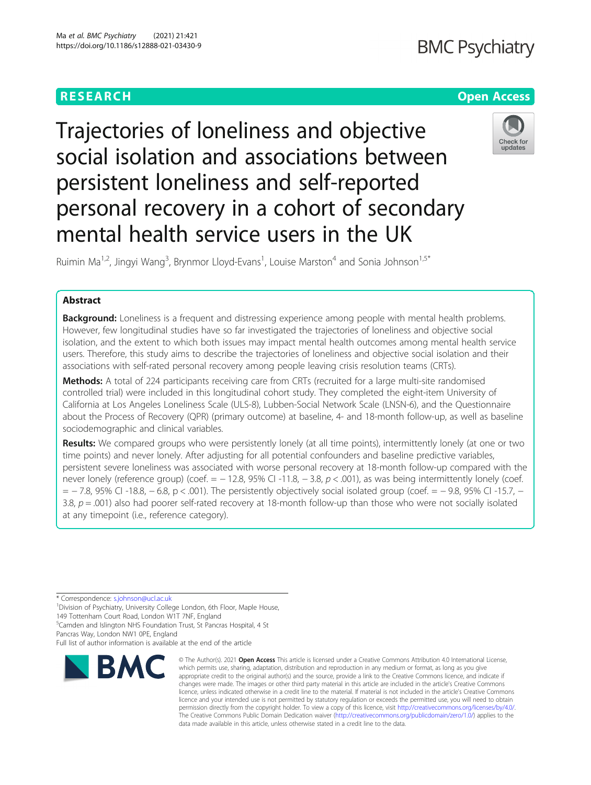# **BMC Psychiatry**

# **RESEARCH CHE Open Access**



Trajectories of loneliness and objective social isolation and associations between persistent loneliness and self-reported personal recovery in a cohort of secondary mental health service users in the UK

Ruimin Ma<sup>1,2</sup>, Jingyi Wang<sup>3</sup>, Brynmor Lloyd-Evans<sup>1</sup>, Louise Marston<sup>4</sup> and Sonia Johnson<sup>1,5\*</sup>

# Abstract

Background: Loneliness is a frequent and distressing experience among people with mental health problems. However, few longitudinal studies have so far investigated the trajectories of loneliness and objective social isolation, and the extent to which both issues may impact mental health outcomes among mental health service users. Therefore, this study aims to describe the trajectories of loneliness and objective social isolation and their associations with self-rated personal recovery among people leaving crisis resolution teams (CRTs).

Methods: A total of 224 participants receiving care from CRTs (recruited for a large multi-site randomised controlled trial) were included in this longitudinal cohort study. They completed the eight-item University of California at Los Angeles Loneliness Scale (ULS-8), Lubben-Social Network Scale (LNSN-6), and the Questionnaire about the Process of Recovery (QPR) (primary outcome) at baseline, 4- and 18-month follow-up, as well as baseline sociodemographic and clinical variables.

Results: We compared groups who were persistently lonely (at all time points), intermittently lonely (at one or two time points) and never lonely. After adjusting for all potential confounders and baseline predictive variables, persistent severe loneliness was associated with worse personal recovery at 18-month follow-up compared with the never lonely (reference group) (coef. =  $-12.8$ , 95% CI -11.8,  $-3.8$ ,  $p < .001$ ), as was being intermittently lonely (coef. = − 7.8, 95% CI -18.8, − 6.8, p < .001). The persistently objectively social isolated group (coef. = − 9.8, 95% CI -15.7, − 3.8,  $p = .001$ ) also had poorer self-rated recovery at 18-month follow-up than those who were not socially isolated at any timepoint (i.e., reference category).

\* Correspondence: [s.johnson@ucl.ac.uk](mailto:s.johnson@ucl.ac.uk) <sup>1</sup>

<sup>1</sup> Division of Psychiatry, University College London, 6th Floor, Maple House, 149 Tottenham Court Road, London W1T 7NF, England

5 Camden and Islington NHS Foundation Trust, St Pancras Hospital, 4 St

Pancras Way, London NW1 0PE, England

Full list of author information is available at the end of the article



<sup>©</sup> The Author(s), 2021 **Open Access** This article is licensed under a Creative Commons Attribution 4.0 International License, which permits use, sharing, adaptation, distribution and reproduction in any medium or format, as long as you give appropriate credit to the original author(s) and the source, provide a link to the Creative Commons licence, and indicate if changes were made. The images or other third party material in this article are included in the article's Creative Commons licence, unless indicated otherwise in a credit line to the material. If material is not included in the article's Creative Commons licence and your intended use is not permitted by statutory regulation or exceeds the permitted use, you will need to obtain permission directly from the copyright holder. To view a copy of this licence, visit [http://creativecommons.org/licenses/by/4.0/.](http://creativecommons.org/licenses/by/4.0/) The Creative Commons Public Domain Dedication waiver [\(http://creativecommons.org/publicdomain/zero/1.0/](http://creativecommons.org/publicdomain/zero/1.0/)) applies to the data made available in this article, unless otherwise stated in a credit line to the data.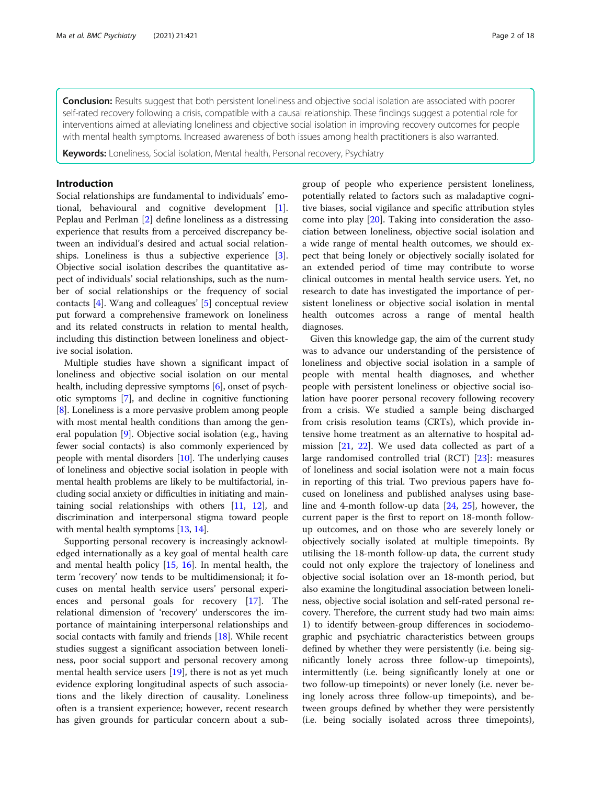**Conclusion:** Results suggest that both persistent loneliness and objective social isolation are associated with poorer self-rated recovery following a crisis, compatible with a causal relationship. These findings suggest a potential role for interventions aimed at alleviating loneliness and objective social isolation in improving recovery outcomes for people with mental health symptoms. Increased awareness of both issues among health practitioners is also warranted.

**Keywords:** Loneliness, Social isolation, Mental health, Personal recovery, Psychiatry

# Introduction

Social relationships are fundamental to individuals' emotional, behavioural and cognitive development [\[1](#page-16-0)]. Peplau and Perlman [\[2\]](#page-16-0) define loneliness as a distressing experience that results from a perceived discrepancy between an individual's desired and actual social relation-ships. Loneliness is thus a subjective experience [\[3](#page-16-0)]. Objective social isolation describes the quantitative aspect of individuals' social relationships, such as the number of social relationships or the frequency of social contacts [[4\]](#page-16-0). Wang and colleagues' [[5](#page-16-0)] conceptual review put forward a comprehensive framework on loneliness and its related constructs in relation to mental health, including this distinction between loneliness and objective social isolation.

Multiple studies have shown a significant impact of loneliness and objective social isolation on our mental health, including depressive symptoms [[6\]](#page-16-0), onset of psychotic symptoms [[7\]](#page-16-0), and decline in cognitive functioning [[8\]](#page-16-0). Loneliness is a more pervasive problem among people with most mental health conditions than among the general population [[9](#page-16-0)]. Objective social isolation (e.g., having fewer social contacts) is also commonly experienced by people with mental disorders [\[10\]](#page-16-0). The underlying causes of loneliness and objective social isolation in people with mental health problems are likely to be multifactorial, including social anxiety or difficulties in initiating and maintaining social relationships with others [\[11,](#page-16-0) [12\]](#page-16-0), and discrimination and interpersonal stigma toward people with mental health symptoms [\[13,](#page-16-0) [14](#page-16-0)].

Supporting personal recovery is increasingly acknowledged internationally as a key goal of mental health care and mental health policy [[15](#page-16-0), [16](#page-16-0)]. In mental health, the term 'recovery' now tends to be multidimensional; it focuses on mental health service users' personal experiences and personal goals for recovery [[17](#page-16-0)]. The relational dimension of 'recovery' underscores the importance of maintaining interpersonal relationships and social contacts with family and friends [[18](#page-16-0)]. While recent studies suggest a significant association between loneliness, poor social support and personal recovery among mental health service users [[19](#page-16-0)], there is not as yet much evidence exploring longitudinal aspects of such associations and the likely direction of causality. Loneliness often is a transient experience; however, recent research has given grounds for particular concern about a subgroup of people who experience persistent loneliness, potentially related to factors such as maladaptive cognitive biases, social vigilance and specific attribution styles come into play [[20\]](#page-16-0). Taking into consideration the association between loneliness, objective social isolation and a wide range of mental health outcomes, we should expect that being lonely or objectively socially isolated for an extended period of time may contribute to worse clinical outcomes in mental health service users. Yet, no research to date has investigated the importance of persistent loneliness or objective social isolation in mental health outcomes across a range of mental health diagnoses.

Given this knowledge gap, the aim of the current study was to advance our understanding of the persistence of loneliness and objective social isolation in a sample of people with mental health diagnoses, and whether people with persistent loneliness or objective social isolation have poorer personal recovery following recovery from a crisis. We studied a sample being discharged from crisis resolution teams (CRTs), which provide intensive home treatment as an alternative to hospital admission [\[21,](#page-17-0) [22\]](#page-17-0). We used data collected as part of a large randomised controlled trial (RCT) [\[23\]](#page-17-0): measures of loneliness and social isolation were not a main focus in reporting of this trial. Two previous papers have focused on loneliness and published analyses using baseline and 4-month follow-up data [\[24,](#page-17-0) [25\]](#page-17-0), however, the current paper is the first to report on 18-month followup outcomes, and on those who are severely lonely or objectively socially isolated at multiple timepoints. By utilising the 18-month follow-up data, the current study could not only explore the trajectory of loneliness and objective social isolation over an 18-month period, but also examine the longitudinal association between loneliness, objective social isolation and self-rated personal recovery. Therefore, the current study had two main aims: 1) to identify between-group differences in sociodemographic and psychiatric characteristics between groups defined by whether they were persistently (i.e. being significantly lonely across three follow-up timepoints), intermittently (i.e. being significantly lonely at one or two follow-up timepoints) or never lonely (i.e. never being lonely across three follow-up timepoints), and between groups defined by whether they were persistently (i.e. being socially isolated across three timepoints),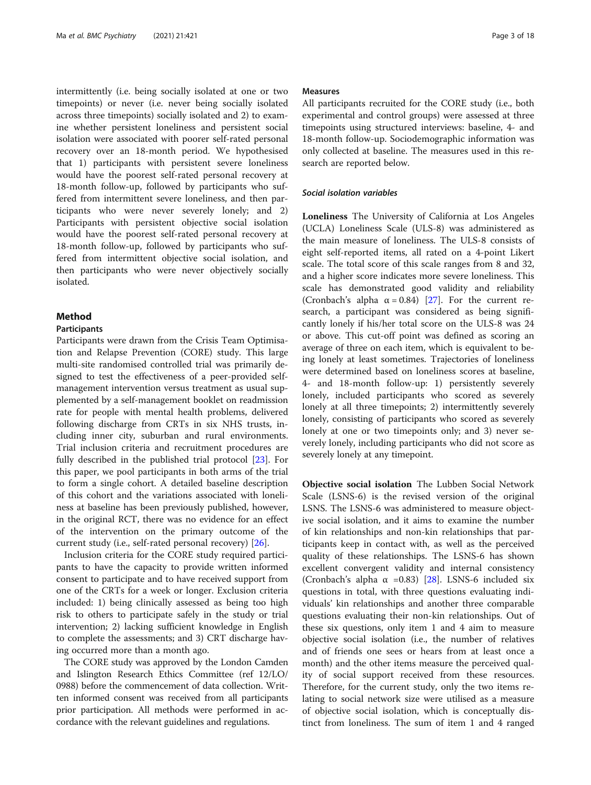intermittently (i.e. being socially isolated at one or two timepoints) or never (i.e. never being socially isolated across three timepoints) socially isolated and 2) to examine whether persistent loneliness and persistent social isolation were associated with poorer self-rated personal recovery over an 18-month period. We hypothesised that 1) participants with persistent severe loneliness would have the poorest self-rated personal recovery at 18-month follow-up, followed by participants who suffered from intermittent severe loneliness, and then participants who were never severely lonely; and 2) Participants with persistent objective social isolation would have the poorest self-rated personal recovery at 18-month follow-up, followed by participants who suffered from intermittent objective social isolation, and then participants who were never objectively socially isolated.

# Method

#### Participants

Participants were drawn from the Crisis Team Optimisation and Relapse Prevention (CORE) study. This large multi-site randomised controlled trial was primarily designed to test the effectiveness of a peer-provided selfmanagement intervention versus treatment as usual supplemented by a self-management booklet on readmission rate for people with mental health problems, delivered following discharge from CRTs in six NHS trusts, including inner city, suburban and rural environments. Trial inclusion criteria and recruitment procedures are fully described in the published trial protocol [\[23](#page-17-0)]. For this paper, we pool participants in both arms of the trial to form a single cohort. A detailed baseline description of this cohort and the variations associated with loneliness at baseline has been previously published, however, in the original RCT, there was no evidence for an effect of the intervention on the primary outcome of the current study (i.e., self-rated personal recovery) [\[26](#page-17-0)].

Inclusion criteria for the CORE study required participants to have the capacity to provide written informed consent to participate and to have received support from one of the CRTs for a week or longer. Exclusion criteria included: 1) being clinically assessed as being too high risk to others to participate safely in the study or trial intervention; 2) lacking sufficient knowledge in English to complete the assessments; and 3) CRT discharge having occurred more than a month ago.

The CORE study was approved by the London Camden and Islington Research Ethics Committee (ref 12/LO/ 0988) before the commencement of data collection. Written informed consent was received from all participants prior participation. All methods were performed in accordance with the relevant guidelines and regulations.

# Measures

All participants recruited for the CORE study (i.e., both experimental and control groups) were assessed at three timepoints using structured interviews: baseline, 4- and 18-month follow-up. Sociodemographic information was only collected at baseline. The measures used in this research are reported below.

# Social isolation variables

Loneliness The University of California at Los Angeles (UCLA) Loneliness Scale (ULS-8) was administered as the main measure of loneliness. The ULS-8 consists of eight self-reported items, all rated on a 4-point Likert scale. The total score of this scale ranges from 8 and 32, and a higher score indicates more severe loneliness. This scale has demonstrated good validity and reliability (Cronbach's alpha  $\alpha = 0.84$ ) [\[27](#page-17-0)]. For the current research, a participant was considered as being significantly lonely if his/her total score on the ULS-8 was 24 or above. This cut-off point was defined as scoring an average of three on each item, which is equivalent to being lonely at least sometimes. Trajectories of loneliness were determined based on loneliness scores at baseline, 4- and 18-month follow-up: 1) persistently severely lonely, included participants who scored as severely lonely at all three timepoints; 2) intermittently severely lonely, consisting of participants who scored as severely lonely at one or two timepoints only; and 3) never severely lonely, including participants who did not score as severely lonely at any timepoint.

Objective social isolation The Lubben Social Network Scale (LSNS-6) is the revised version of the original LSNS. The LSNS-6 was administered to measure objective social isolation, and it aims to examine the number of kin relationships and non-kin relationships that participants keep in contact with, as well as the perceived quality of these relationships. The LSNS-6 has shown excellent convergent validity and internal consistency (Cronbach's alpha  $\alpha$  =0.83) [\[28](#page-17-0)]. LSNS-6 included six questions in total, with three questions evaluating individuals' kin relationships and another three comparable questions evaluating their non-kin relationships. Out of these six questions, only item 1 and 4 aim to measure objective social isolation (i.e., the number of relatives and of friends one sees or hears from at least once a month) and the other items measure the perceived quality of social support received from these resources. Therefore, for the current study, only the two items relating to social network size were utilised as a measure of objective social isolation, which is conceptually distinct from loneliness. The sum of item 1 and 4 ranged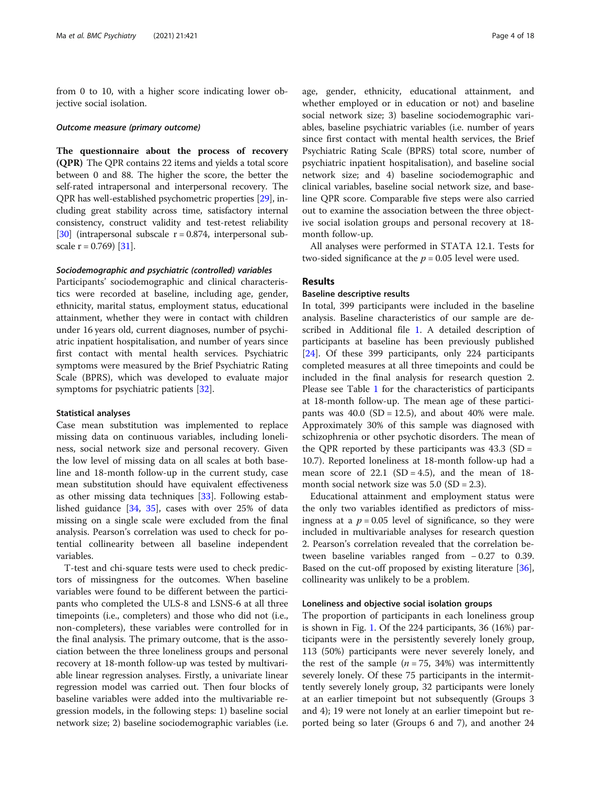from 0 to 10, with a higher score indicating lower objective social isolation.

#### Outcome measure (primary outcome)

The questionnaire about the process of recovery (QPR) The QPR contains 22 items and yields a total score between 0 and 88. The higher the score, the better the self-rated intrapersonal and interpersonal recovery. The QPR has well-established psychometric properties [[29\]](#page-17-0), including great stability across time, satisfactory internal consistency, construct validity and test-retest reliability [[30](#page-17-0)] (intrapersonal subscale  $r = 0.874$ , interpersonal subscale  $r = 0.769$  [[31](#page-17-0)].

# Sociodemographic and psychiatric (controlled) variables

Participants' sociodemographic and clinical characteristics were recorded at baseline, including age, gender, ethnicity, marital status, employment status, educational attainment, whether they were in contact with children under 16 years old, current diagnoses, number of psychiatric inpatient hospitalisation, and number of years since first contact with mental health services. Psychiatric symptoms were measured by the Brief Psychiatric Rating Scale (BPRS), which was developed to evaluate major symptoms for psychiatric patients [\[32\]](#page-17-0).

#### Statistical analyses

Case mean substitution was implemented to replace missing data on continuous variables, including loneliness, social network size and personal recovery. Given the low level of missing data on all scales at both baseline and 18-month follow-up in the current study, case mean substitution should have equivalent effectiveness as other missing data techniques [[33](#page-17-0)]. Following established guidance [\[34,](#page-17-0) [35\]](#page-17-0), cases with over 25% of data missing on a single scale were excluded from the final analysis. Pearson's correlation was used to check for potential collinearity between all baseline independent variables.

T-test and chi-square tests were used to check predictors of missingness for the outcomes. When baseline variables were found to be different between the participants who completed the ULS-8 and LSNS-6 at all three timepoints (i.e., completers) and those who did not (i.e., non-completers), these variables were controlled for in the final analysis. The primary outcome, that is the association between the three loneliness groups and personal recovery at 18-month follow-up was tested by multivariable linear regression analyses. Firstly, a univariate linear regression model was carried out. Then four blocks of baseline variables were added into the multivariable regression models, in the following steps: 1) baseline social network size; 2) baseline sociodemographic variables (i.e. age, gender, ethnicity, educational attainment, and whether employed or in education or not) and baseline social network size; 3) baseline sociodemographic variables, baseline psychiatric variables (i.e. number of years since first contact with mental health services, the Brief Psychiatric Rating Scale (BPRS) total score, number of psychiatric inpatient hospitalisation), and baseline social network size; and 4) baseline sociodemographic and clinical variables, baseline social network size, and baseline QPR score. Comparable five steps were also carried out to examine the association between the three objective social isolation groups and personal recovery at 18 month follow-up.

All analyses were performed in STATA 12.1. Tests for two-sided significance at the  $p = 0.05$  level were used.

# Results

# Baseline descriptive results

In total, 399 participants were included in the baseline analysis. Baseline characteristics of our sample are described in Additional file [1](#page-16-0). A detailed description of participants at baseline has been previously published [[24\]](#page-17-0). Of these 399 participants, only 224 participants completed measures at all three timepoints and could be included in the final analysis for research question 2. Please see Table [1](#page-4-0) for the characteristics of participants at 18-month follow-up. The mean age of these participants was  $40.0$  (SD = 12.5), and about  $40\%$  were male. Approximately 30% of this sample was diagnosed with schizophrenia or other psychotic disorders. The mean of the QPR reported by these participants was  $43.3$  (SD = 10.7). Reported loneliness at 18-month follow-up had a mean score of 22.1 (SD = 4.5), and the mean of  $18$ month social network size was  $5.0$  (SD = 2.3).

Educational attainment and employment status were the only two variables identified as predictors of missingness at a  $p = 0.05$  level of significance, so they were included in multivariable analyses for research question 2. Pearson's correlation revealed that the correlation between baseline variables ranged from − 0.27 to 0.39. Based on the cut-off proposed by existing literature [\[36](#page-17-0)], collinearity was unlikely to be a problem.

#### Loneliness and objective social isolation groups

The proportion of participants in each loneliness group is shown in Fig. [1](#page-5-0). Of the 224 participants, 36 (16%) participants were in the persistently severely lonely group, 113 (50%) participants were never severely lonely, and the rest of the sample ( $n = 75$ , 34%) was intermittently severely lonely. Of these 75 participants in the intermittently severely lonely group, 32 participants were lonely at an earlier timepoint but not subsequently (Groups 3 and 4); 19 were not lonely at an earlier timepoint but reported being so later (Groups 6 and 7), and another 24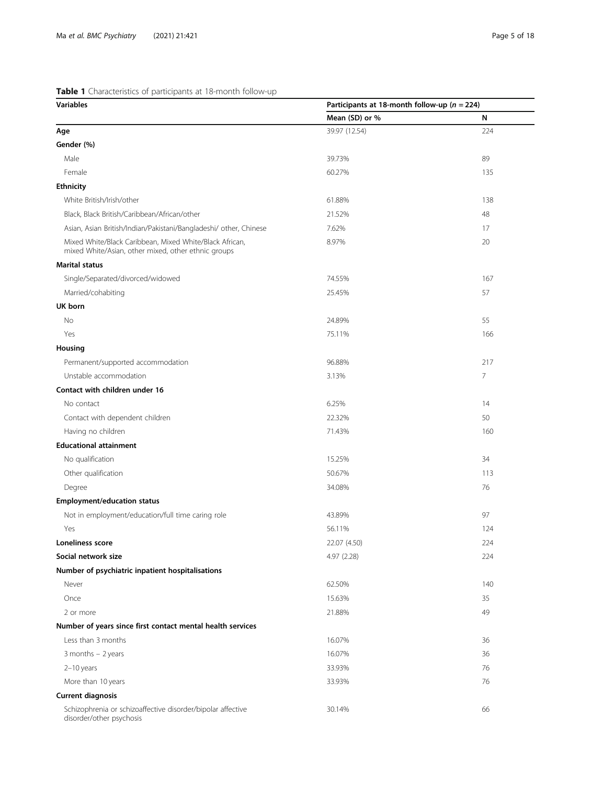# <span id="page-4-0"></span>Table 1 Characteristics of participants at 18-month follow-up

| <b>Table I</b> Characteristics or participants at To month follow up<br><b>Variables</b>                       | Participants at 18-month follow-up ( $n = 224$ ) |                |
|----------------------------------------------------------------------------------------------------------------|--------------------------------------------------|----------------|
|                                                                                                                | Mean (SD) or %                                   | N              |
| Age                                                                                                            | 39.97 (12.54)                                    | 224            |
| Gender (%)                                                                                                     |                                                  |                |
| Male                                                                                                           | 39.73%                                           | 89             |
| Female                                                                                                         | 60.27%                                           | 135            |
| <b>Ethnicity</b>                                                                                               |                                                  |                |
| White British/Irish/other                                                                                      | 61.88%                                           | 138            |
| Black, Black British/Caribbean/African/other                                                                   | 21.52%                                           | 48             |
| Asian, Asian British/Indian/Pakistani/Bangladeshi/ other, Chinese                                              | 7.62%                                            | 17             |
| Mixed White/Black Caribbean, Mixed White/Black African,<br>mixed White/Asian, other mixed, other ethnic groups | 8.97%                                            | 20             |
| <b>Marital status</b>                                                                                          |                                                  |                |
| Single/Separated/divorced/widowed                                                                              | 74.55%                                           | 167            |
| Married/cohabiting                                                                                             | 25.45%                                           | 57             |
| UK born                                                                                                        |                                                  |                |
| No                                                                                                             | 24.89%                                           | 55             |
| Yes                                                                                                            | 75.11%                                           | 166            |
| Housing                                                                                                        |                                                  |                |
| Permanent/supported accommodation                                                                              | 96.88%                                           | 217            |
| Unstable accommodation                                                                                         | 3.13%                                            | $\overline{7}$ |
| Contact with children under 16                                                                                 |                                                  |                |
| No contact                                                                                                     | 6.25%                                            | 14             |
| Contact with dependent children                                                                                | 22.32%                                           | 50             |
| Having no children                                                                                             | 71.43%                                           | 160            |
| <b>Educational attainment</b>                                                                                  |                                                  |                |
| No qualification                                                                                               | 15.25%                                           | 34             |
| Other qualification                                                                                            | 50.67%                                           | 113            |
| Degree                                                                                                         | 34.08%                                           | 76             |
| <b>Employment/education status</b>                                                                             |                                                  |                |
| Not in employment/education/full time caring role                                                              | 43.89%                                           | 97             |
| Yes                                                                                                            | 56.11%                                           | 124            |
| Loneliness score                                                                                               | 22.07 (4.50)                                     | 224            |
| Social network size                                                                                            | 4.97 (2.28)                                      | 224            |
| Number of psychiatric inpatient hospitalisations                                                               |                                                  |                |
| Never                                                                                                          | 62.50%                                           | 140            |
| Once                                                                                                           | 15.63%                                           | 35             |
| 2 or more                                                                                                      | 21.88%                                           | 49             |
| Number of years since first contact mental health services                                                     |                                                  |                |
| Less than 3 months                                                                                             | 16.07%                                           | 36             |
| $3$ months $-2$ years                                                                                          | 16.07%                                           | 36             |
| $2-10$ years                                                                                                   | 33.93%                                           | 76             |
| More than 10 years                                                                                             | 33.93%                                           | 76             |
| <b>Current diagnosis</b>                                                                                       |                                                  |                |
| Schizophrenia or schizoaffective disorder/bipolar affective<br>disorder/other psychosis                        | 30.14%                                           | 66             |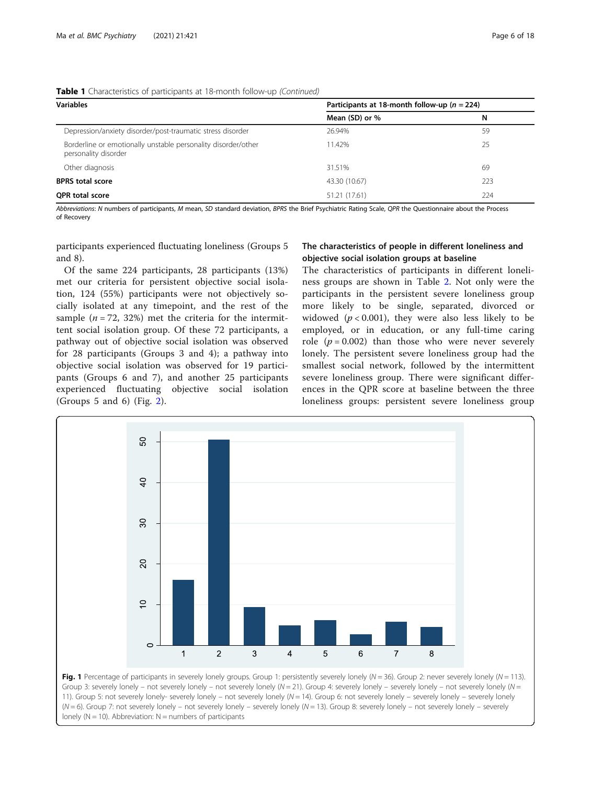# <span id="page-5-0"></span>Table 1 Characteristics of participants at 18-month follow-up (Continued)

| <b>Variables</b>                                                                      | Participants at 18-month follow-up ( $n = 224$ ) |     |
|---------------------------------------------------------------------------------------|--------------------------------------------------|-----|
|                                                                                       | Mean (SD) or %                                   | N   |
| Depression/anxiety disorder/post-traumatic stress disorder                            | 26.94%                                           | 59  |
| Borderline or emotionally unstable personality disorder/other<br>personality disorder | 11.42%                                           | 25  |
| Other diagnosis                                                                       | 31.51%                                           | 69  |
| <b>BPRS</b> total score                                                               | 43.30 (10.67)                                    | 223 |
| <b>OPR total score</b>                                                                | 51.21 (17.61)                                    | 224 |

Abbreviations: N numbers of participants, M mean, SD standard deviation, BPRS the Brief Psychiatric Rating Scale, QPR the Questionnaire about the Process of Recovery

participants experienced fluctuating loneliness (Groups 5 and 8).

Of the same 224 participants, 28 participants (13%) met our criteria for persistent objective social isolation, 124 (55%) participants were not objectively socially isolated at any timepoint, and the rest of the sample ( $n = 72$ , 32%) met the criteria for the intermittent social isolation group. Of these 72 participants, a pathway out of objective social isolation was observed for 28 participants (Groups 3 and 4); a pathway into objective social isolation was observed for 19 participants (Groups 6 and 7), and another 25 participants experienced fluctuating objective social isolation (Groups 5 and 6) (Fig. [2](#page-6-0)).

# The characteristics of people in different loneliness and objective social isolation groups at baseline

The characteristics of participants in different loneliness groups are shown in Table [2.](#page-7-0) Not only were the participants in the persistent severe loneliness group more likely to be single, separated, divorced or widowed ( $p < 0.001$ ), they were also less likely to be employed, or in education, or any full-time caring role  $(p = 0.002)$  than those who were never severely lonely. The persistent severe loneliness group had the smallest social network, followed by the intermittent severe loneliness group. There were significant differences in the QPR score at baseline between the three loneliness groups: persistent severe loneliness group



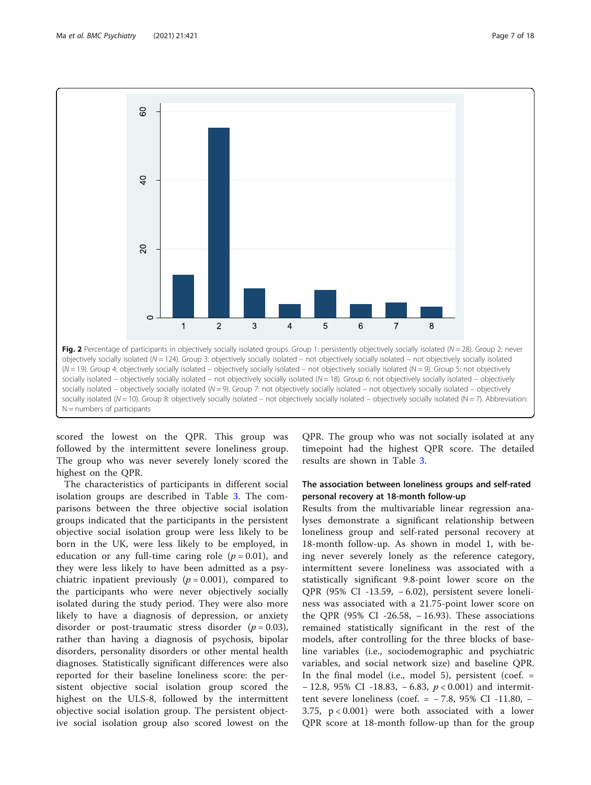<span id="page-6-0"></span>

scored the lowest on the QPR. This group was followed by the intermittent severe loneliness group. The group who was never severely lonely scored the highest on the QPR.

The characteristics of participants in different social isolation groups are described in Table [3](#page-9-0). The comparisons between the three objective social isolation groups indicated that the participants in the persistent objective social isolation group were less likely to be born in the UK, were less likely to be employed, in education or any full-time caring role  $(p = 0.01)$ , and they were less likely to have been admitted as a psychiatric inpatient previously  $(p = 0.001)$ , compared to the participants who were never objectively socially isolated during the study period. They were also more likely to have a diagnosis of depression, or anxiety disorder or post-traumatic stress disorder  $(p = 0.03)$ , rather than having a diagnosis of psychosis, bipolar disorders, personality disorders or other mental health diagnoses. Statistically significant differences were also reported for their baseline loneliness score: the persistent objective social isolation group scored the highest on the ULS-8, followed by the intermittent objective social isolation group. The persistent objective social isolation group also scored lowest on the

QPR. The group who was not socially isolated at any timepoint had the highest QPR score. The detailed results are shown in Table [3.](#page-9-0)

# The association between loneliness groups and self-rated personal recovery at 18-month follow-up

Results from the multivariable linear regression analyses demonstrate a significant relationship between loneliness group and self-rated personal recovery at 18-month follow-up. As shown in model 1, with being never severely lonely as the reference category, intermittent severe loneliness was associated with a statistically significant 9.8-point lower score on the QPR (95% CI -13.59, − 6.02), persistent severe loneliness was associated with a 21.75-point lower score on the QPR (95% CI -26.58, − 16.93). These associations remained statistically significant in the rest of the models, after controlling for the three blocks of baseline variables (i.e., sociodemographic and psychiatric variables, and social network size) and baseline QPR. In the final model (i.e., model 5), persistent (coef.  $=$ − 12.8, 95% CI -18.83, −6.83,  $p < 0.001$ ) and intermittent severe loneliness (coef. = − 7.8, 95% CI -11.80, − 3.75, p < 0.001) were both associated with a lower QPR score at 18-month follow-up than for the group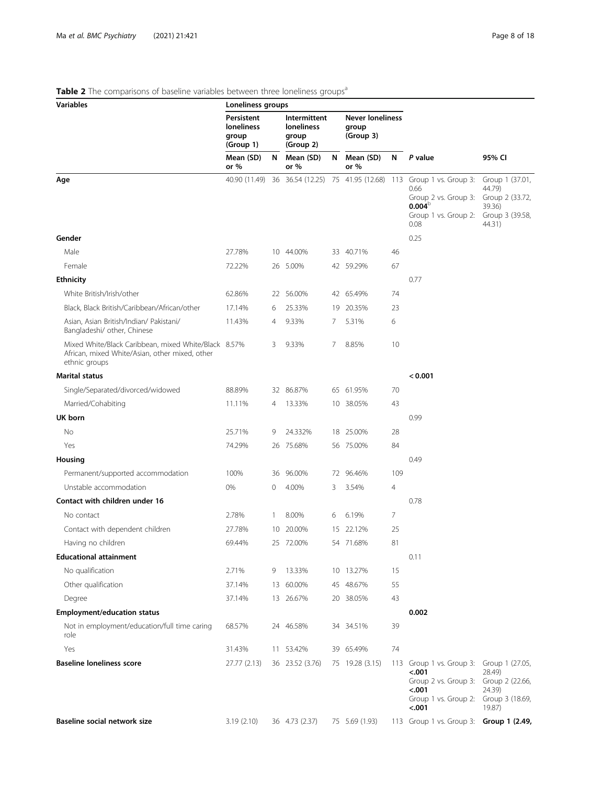# <span id="page-7-0"></span>Table 2 The comparisons of baseline variables between three loneliness groups<sup>a</sup>

| <b>Variables</b>                                                                                                        | Loneliness groups                                     |                |                                                  |   |                                               |     |                                                                                                                                             |                                                                                     |
|-------------------------------------------------------------------------------------------------------------------------|-------------------------------------------------------|----------------|--------------------------------------------------|---|-----------------------------------------------|-----|---------------------------------------------------------------------------------------------------------------------------------------------|-------------------------------------------------------------------------------------|
|                                                                                                                         | Persistent<br><b>loneliness</b><br>group<br>(Group 1) |                | Intermittent<br>loneliness<br>group<br>(Group 2) |   | <b>Never loneliness</b><br>group<br>(Group 3) |     |                                                                                                                                             |                                                                                     |
|                                                                                                                         | Mean (SD)<br>or $%$                                   | N              | Mean (SD)<br>or $%$                              | N | Mean (SD)<br>or $%$                           | N   | P value                                                                                                                                     | 95% CI                                                                              |
| Age                                                                                                                     | 40.90 (11.49)                                         |                |                                                  |   |                                               |     | 36 36.54 (12.25) 75 41.95 (12.68) 113 Group 1 vs. Group 3:<br>0.66<br>Group 2 vs. Group 3:<br>$0.004^\circ$<br>Group 1 vs. Group 2:<br>0.08 | Group 1 (37.01,<br>44.79)<br>Group 2 (33.72,<br>39.36)<br>Group 3 (39.58,<br>44.31) |
| Gender                                                                                                                  |                                                       |                |                                                  |   |                                               |     | 0.25                                                                                                                                        |                                                                                     |
| Male                                                                                                                    | 27.78%                                                |                | 10 44.00%                                        |   | 33 40.71%                                     | 46  |                                                                                                                                             |                                                                                     |
| Female                                                                                                                  | 72.22%                                                |                | 26 5.00%                                         |   | 42 59.29%                                     | 67  |                                                                                                                                             |                                                                                     |
| <b>Ethnicity</b>                                                                                                        |                                                       |                |                                                  |   |                                               |     | 0.77                                                                                                                                        |                                                                                     |
| White British/Irish/other                                                                                               | 62.86%                                                |                | 22 56.00%                                        |   | 42 65.49%                                     | 74  |                                                                                                                                             |                                                                                     |
| Black, Black British/Caribbean/African/other                                                                            | 17.14%                                                | 6              | 25.33%                                           |   | 19 20.35%                                     | 23  |                                                                                                                                             |                                                                                     |
| Asian, Asian British/Indian/ Pakistani/<br>Bangladeshi/ other, Chinese                                                  | 11.43%                                                | $\overline{4}$ | 9.33%                                            | 7 | 5.31%                                         | 6   |                                                                                                                                             |                                                                                     |
| Mixed White/Black Caribbean, mixed White/Black 8.57%<br>African, mixed White/Asian, other mixed, other<br>ethnic groups |                                                       | 3              | 9.33%                                            | 7 | 8.85%                                         | 10  |                                                                                                                                             |                                                                                     |
| <b>Marital status</b>                                                                                                   |                                                       |                |                                                  |   |                                               |     | < 0.001                                                                                                                                     |                                                                                     |
| Single/Separated/divorced/widowed                                                                                       | 88.89%                                                |                | 32 86.87%                                        |   | 65 61.95%                                     | 70  |                                                                                                                                             |                                                                                     |
| Married/Cohabiting                                                                                                      | 11.11%                                                | 4              | 13.33%                                           |   | 10 38.05%                                     | 43  |                                                                                                                                             |                                                                                     |
| UK born                                                                                                                 |                                                       |                |                                                  |   |                                               |     | 0.99                                                                                                                                        |                                                                                     |
| No                                                                                                                      | 25.71%                                                | 9              | 24.332%                                          |   | 18 25.00%                                     | 28  |                                                                                                                                             |                                                                                     |
| Yes                                                                                                                     | 74.29%                                                |                | 26 75.68%                                        |   | 56 75.00%                                     | 84  |                                                                                                                                             |                                                                                     |
| Housing                                                                                                                 |                                                       |                |                                                  |   |                                               |     | 0.49                                                                                                                                        |                                                                                     |
| Permanent/supported accommodation                                                                                       | 100%                                                  | 36             | 96.00%                                           |   | 72 96.46%                                     | 109 |                                                                                                                                             |                                                                                     |
| Unstable accommodation                                                                                                  | 0%                                                    | 0              | 4.00%                                            | 3 | 3.54%                                         | 4   |                                                                                                                                             |                                                                                     |
| Contact with children under 16                                                                                          |                                                       |                |                                                  |   |                                               |     | 0.78                                                                                                                                        |                                                                                     |
| No contact                                                                                                              | 2.78%                                                 | 1              | 8.00%                                            | 6 | 6.19%                                         | 7   |                                                                                                                                             |                                                                                     |
| Contact with dependent children                                                                                         | 27.78%                                                |                | 10 20.00%                                        |   | 15 22.12%                                     | 25  |                                                                                                                                             |                                                                                     |
| Having no children                                                                                                      | 69.44%                                                |                | 25 72.00%                                        |   | 54 71.68%                                     | 81  |                                                                                                                                             |                                                                                     |
| <b>Educational attainment</b>                                                                                           |                                                       |                |                                                  |   |                                               |     | 0.11                                                                                                                                        |                                                                                     |
| No qualification                                                                                                        | 2.71%                                                 | 9.             | 13.33%                                           |   | 10 13.27%                                     | 15  |                                                                                                                                             |                                                                                     |
| Other qualification                                                                                                     | 37.14%                                                |                | 13 60.00%                                        |   | 45 48.67%                                     | 55  |                                                                                                                                             |                                                                                     |
| Degree                                                                                                                  | 37.14%                                                |                | 13 26.67%                                        |   | 20 38.05%                                     | 43  |                                                                                                                                             |                                                                                     |
| <b>Employment/education status</b>                                                                                      |                                                       |                |                                                  |   |                                               |     | 0.002                                                                                                                                       |                                                                                     |
| Not in employment/education/full time caring<br>role                                                                    | 68.57%                                                |                | 24 46.58%                                        |   | 34 34.51%                                     | 39  |                                                                                                                                             |                                                                                     |
| Yes                                                                                                                     | 31.43%                                                |                | 11 53.42%                                        |   | 39 65.49%                                     | 74  |                                                                                                                                             |                                                                                     |
| <b>Baseline loneliness score</b>                                                                                        | 27.77(2.13)                                           |                | 36 23.52 (3.76)                                  |   | 75 19.28 (3.15)                               |     | 113 Group 1 vs. Group 3: Group 1 (27.05,<br>$-.001$<br>Group 2 vs. Group 3:<br>$-.001$<br>Group 1 vs. Group 2: Group 3 (18.69,<br>$-.001$   | 28.49)<br>Group 2 (22.66,<br>24.39)<br>19.87)                                       |
| Baseline social network size                                                                                            | 3.19(2.10)                                            |                | 36 4.73 (2.37)                                   |   | 75 5.69 (1.93)                                |     | 113 Group 1 vs. Group 3: Group 1 (2.49,                                                                                                     |                                                                                     |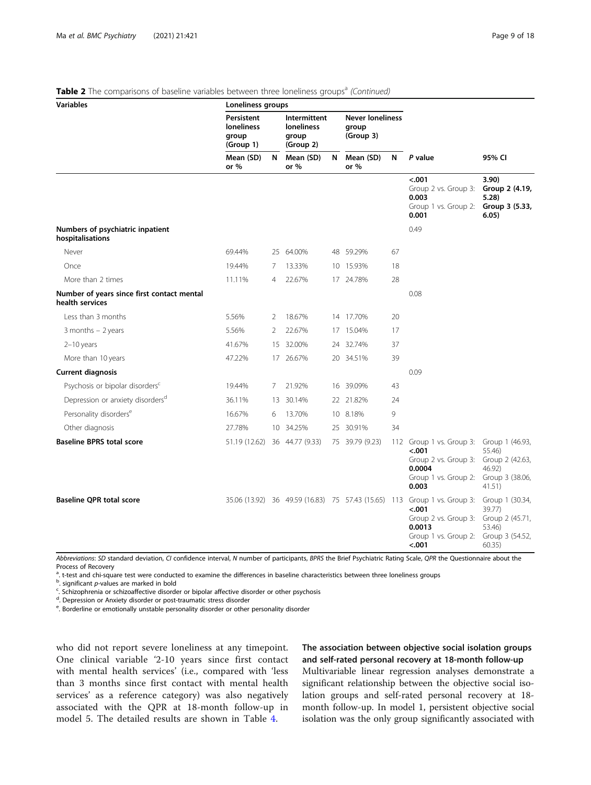|  |  |  |  | Table 2 The comparisons of baseline variables between three loneliness groups <sup>a</sup> (Continued) |  |
|--|--|--|--|--------------------------------------------------------------------------------------------------------|--|

| <b>Variables</b>                                              | Loneliness groups                                     |                |                                                         |   |                                               |    |                                                                                                                                                          |                                                                                     |
|---------------------------------------------------------------|-------------------------------------------------------|----------------|---------------------------------------------------------|---|-----------------------------------------------|----|----------------------------------------------------------------------------------------------------------------------------------------------------------|-------------------------------------------------------------------------------------|
|                                                               | Persistent<br><b>loneliness</b><br>group<br>(Group 1) |                | Intermittent<br><b>loneliness</b><br>group<br>(Group 2) |   | <b>Never loneliness</b><br>group<br>(Group 3) |    |                                                                                                                                                          |                                                                                     |
|                                                               | Mean (SD)<br>or %                                     | N              | Mean (SD)<br>or %                                       | N | Mean (SD)<br>or $%$                           | N  | P value                                                                                                                                                  | 95% CI                                                                              |
|                                                               |                                                       |                |                                                         |   |                                               |    | $-.001$<br>Group 2 vs. Group 3:<br>0.003<br>Group 1 vs. Group 2:<br>0.001                                                                                | 3.90)<br>Group 2 (4.19,<br>5.28)<br>Group 3 (5.33,<br>6.05)                         |
| Numbers of psychiatric inpatient<br>hospitalisations          |                                                       |                |                                                         |   |                                               |    | 0.49                                                                                                                                                     |                                                                                     |
| Never                                                         | 69.44%                                                |                | 25 64.00%                                               |   | 48 59.29%                                     | 67 |                                                                                                                                                          |                                                                                     |
| Once                                                          | 19.44%                                                | 7              | 13.33%                                                  |   | 10 15.93%                                     | 18 |                                                                                                                                                          |                                                                                     |
| More than 2 times                                             | 11.11%                                                | $\overline{4}$ | 22.67%                                                  |   | 17 24.78%                                     | 28 |                                                                                                                                                          |                                                                                     |
| Number of years since first contact mental<br>health services |                                                       |                |                                                         |   |                                               |    | 0.08                                                                                                                                                     |                                                                                     |
| Less than 3 months                                            | 5.56%                                                 | 2              | 18.67%                                                  |   | 14 17.70%                                     | 20 |                                                                                                                                                          |                                                                                     |
| $3$ months $-2$ years                                         | 5.56%                                                 | 2              | 22.67%                                                  |   | 17 15.04%                                     | 17 |                                                                                                                                                          |                                                                                     |
| $2-10$ years                                                  | 41.67%                                                |                | 15 32.00%                                               |   | 24 32.74%                                     | 37 |                                                                                                                                                          |                                                                                     |
| More than 10 years                                            | 47.22%                                                |                | 17 26.67%                                               |   | 20 34.51%                                     | 39 |                                                                                                                                                          |                                                                                     |
| <b>Current diagnosis</b>                                      |                                                       |                |                                                         |   |                                               |    | 0.09                                                                                                                                                     |                                                                                     |
| Psychosis or bipolar disorders <sup>c</sup>                   | 19.44%                                                | 7              | 21.92%                                                  |   | 16 39.09%                                     | 43 |                                                                                                                                                          |                                                                                     |
| Depression or anxiety disorders <sup>d</sup>                  | 36.11%                                                |                | 13 30.14%                                               |   | 22 21.82%                                     | 24 |                                                                                                                                                          |                                                                                     |
| Personality disorders <sup>e</sup>                            | 16.67%                                                | 6              | 13.70%                                                  |   | 10 8.18%                                      | 9  |                                                                                                                                                          |                                                                                     |
| Other diagnosis                                               | 27.78%                                                |                | 10 34.25%                                               |   | 25 30.91%                                     | 34 |                                                                                                                                                          |                                                                                     |
| <b>Baseline BPRS total score</b>                              | 51.19 (12.62) 36 44.77 (9.33)                         |                |                                                         |   | 75 39.79 (9.23)                               |    | 112 Group 1 vs. Group 3:<br>$-.001$<br>Group 2 vs. Group 3:<br>0.0004<br>Group 1 vs. Group 2:<br>0.003                                                   | Group 1 (46.93,<br>55.46)<br>Group 2 (42.63,<br>46.92)<br>Group 3 (38.06,<br>41.51) |
| <b>Baseline QPR total score</b>                               |                                                       |                |                                                         |   |                                               |    | 35.06 (13.92) 36 49.59 (16.83) 75 57.43 (15.65) 113 Group 1 vs. Group 3:<br>$-.001$<br>Group 2 vs. Group 3:<br>0.0013<br>Group 1 vs. Group 2:<br>$-.001$ | Group 1 (30.34,<br>39.77)<br>Group 2 (45.71,<br>53.46)<br>Group 3 (54.52,<br>60.35) |

Abbreviations: SD standard deviation, CI confidence interval, N number of participants, BPRS the Brief Psychiatric Rating Scale, QPR the Questionnaire about the Process of Recovery

<sup>a</sup>. t-test and chi-square test were conducted to examine the differences in baseline characteristics between three loneliness groups

 $\frac{b}{c}$  significant *p*-values are marked in bold<br>contract contracts or schiperffective disord

<sup>c</sup>. Schizophrenia or schizoaffective disorder or bipolar affective disorder or other psychosis

<sup>d</sup>. Depression or Anxiety disorder or post-traumatic stress disorder

<sup>e</sup>. Borderline or emotionally unstable personality disorder or other personality disorder

who did not report severe loneliness at any timepoint. One clinical variable '2-10 years since first contact with mental health services' (i.e., compared with 'less than 3 months since first contact with mental health services' as a reference category) was also negatively associated with the QPR at 18-month follow-up in model 5. The detailed results are shown in Table [4.](#page-11-0)

# The association between objective social isolation groups and self-rated personal recovery at 18-month follow-up Multivariable linear regression analyses demonstrate a

significant relationship between the objective social isolation groups and self-rated personal recovery at 18 month follow-up. In model 1, persistent objective social isolation was the only group significantly associated with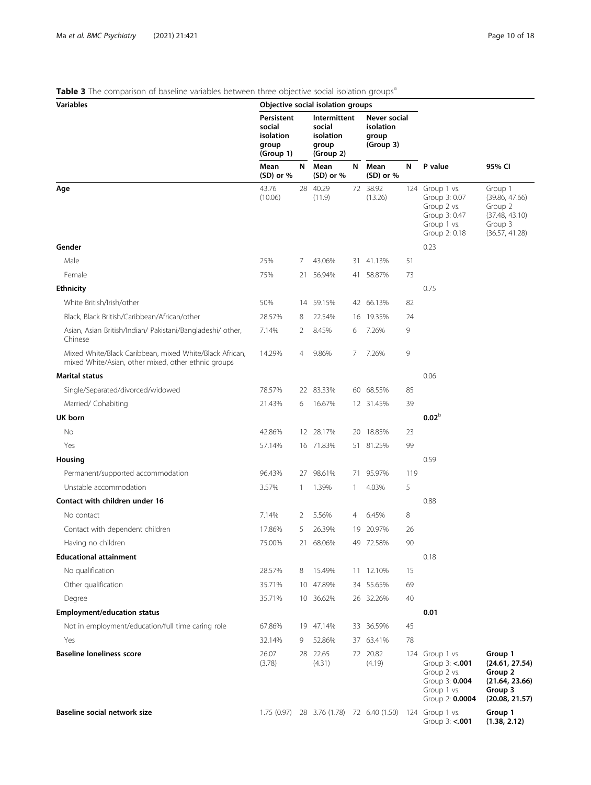# <span id="page-9-0"></span>Table 3 The comparison of baseline variables between three objective social isolation groups<sup>a</sup>

| Variables                                                                                                      |                                                         |              | Objective social isolation groups                         |     |                                                 |     |                                                                                                      |                                                                                     |
|----------------------------------------------------------------------------------------------------------------|---------------------------------------------------------|--------------|-----------------------------------------------------------|-----|-------------------------------------------------|-----|------------------------------------------------------------------------------------------------------|-------------------------------------------------------------------------------------|
|                                                                                                                | Persistent<br>social<br>isolation<br>group<br>(Group 1) |              | Intermittent<br>social<br>isolation<br>group<br>(Group 2) |     | Never social<br>isolation<br>group<br>(Group 3) |     |                                                                                                      |                                                                                     |
|                                                                                                                | Mean<br>$(SD)$ or %                                     | N            | Mean<br>$(SD)$ or %                                       | N   | Mean<br>$(SD)$ or %                             | N   | P value                                                                                              | 95% CI                                                                              |
| Age                                                                                                            | 43.76<br>(10.06)                                        |              | 28 40.29<br>(11.9)                                        |     | 72 38.92<br>(13.26)                             |     | 124 Group 1 vs.<br>Group 3: 0.07<br>Group 2 vs.<br>Group 3: 0.47<br>Group 1 vs.<br>Group 2: 0.18     | Group 1<br>(39.86, 47.66)<br>Group 2<br>(37.48, 43.10)<br>Group 3<br>(36.57, 41.28) |
| Gender                                                                                                         |                                                         |              |                                                           |     |                                                 |     | 0.23                                                                                                 |                                                                                     |
| Male                                                                                                           | 25%                                                     | 7            | 43.06%                                                    |     | 31 41.13%                                       | 51  |                                                                                                      |                                                                                     |
| Female                                                                                                         | 75%                                                     |              | 21 56.94%                                                 |     | 41 58.87%                                       | 73  |                                                                                                      |                                                                                     |
| <b>Ethnicity</b>                                                                                               |                                                         |              |                                                           |     |                                                 |     | 0.75                                                                                                 |                                                                                     |
| White British/Irish/other                                                                                      | 50%                                                     | 14           | 59.15%                                                    |     | 42 66.13%                                       | 82  |                                                                                                      |                                                                                     |
| Black, Black British/Caribbean/African/other                                                                   | 28.57%                                                  | 8            | 22.54%                                                    | 16  | 19.35%                                          | 24  |                                                                                                      |                                                                                     |
| Asian, Asian British/Indian/ Pakistani/Bangladeshi/ other,<br>Chinese                                          | 7.14%                                                   | 2            | 8.45%                                                     | 6   | 7.26%                                           | 9   |                                                                                                      |                                                                                     |
| Mixed White/Black Caribbean, mixed White/Black African,<br>mixed White/Asian, other mixed, other ethnic groups | 14.29%                                                  | 4            | 9.86%                                                     | 7   | 7.26%                                           | 9   |                                                                                                      |                                                                                     |
| <b>Marital status</b>                                                                                          |                                                         |              |                                                           |     |                                                 |     | 0.06                                                                                                 |                                                                                     |
| Single/Separated/divorced/widowed                                                                              | 78.57%                                                  |              | 22 83.33%                                                 |     | 60 68.55%                                       | 85  |                                                                                                      |                                                                                     |
| Married/ Cohabiting                                                                                            | 21.43%                                                  | 6            | 16.67%                                                    |     | 12 31.45%                                       | 39  |                                                                                                      |                                                                                     |
| UK born                                                                                                        |                                                         |              |                                                           |     |                                                 |     | 0.02 <sup>b</sup>                                                                                    |                                                                                     |
| No                                                                                                             | 42.86%                                                  |              | 12 28.17%                                                 | 20  | 18.85%                                          | 23  |                                                                                                      |                                                                                     |
| Yes                                                                                                            | 57.14%                                                  |              | 16 71.83%                                                 |     | 51 81.25%                                       | 99  |                                                                                                      |                                                                                     |
| Housing                                                                                                        |                                                         |              |                                                           |     |                                                 |     | 0.59                                                                                                 |                                                                                     |
| Permanent/supported accommodation                                                                              | 96.43%                                                  | 27           | 98.61%                                                    | 71. | 95.97%                                          | 119 |                                                                                                      |                                                                                     |
| Unstable accommodation                                                                                         | 3.57%                                                   | $\mathbf{1}$ | 1.39%                                                     | 1   | 4.03%                                           | 5   |                                                                                                      |                                                                                     |
| Contact with children under 16                                                                                 |                                                         |              |                                                           |     |                                                 |     | 0.88                                                                                                 |                                                                                     |
| No contact                                                                                                     | 7.14%                                                   | 2            | 5.56%                                                     | 4   | 6.45%                                           | 8   |                                                                                                      |                                                                                     |
| Contact with dependent children                                                                                | 17.86%                                                  | 5            | 26.39%                                                    |     | 19 20.97%                                       | 26  |                                                                                                      |                                                                                     |
| Having no children                                                                                             | 75.00%                                                  |              | 21 68.06%                                                 |     | 49 72.58%                                       | 90  |                                                                                                      |                                                                                     |
| <b>Educational attainment</b>                                                                                  |                                                         |              |                                                           |     |                                                 |     | 0.18                                                                                                 |                                                                                     |
| No qualification                                                                                               | 28.57%                                                  | 8            | 15.49%                                                    |     | 11 12.10%                                       | 15  |                                                                                                      |                                                                                     |
| Other qualification                                                                                            | 35.71%                                                  |              | 10 47.89%                                                 |     | 34 55.65%                                       | 69  |                                                                                                      |                                                                                     |
| Degree                                                                                                         | 35.71%                                                  |              | 10 36.62%                                                 |     | 26 32.26%                                       | 40  |                                                                                                      |                                                                                     |
| <b>Employment/education status</b>                                                                             |                                                         |              |                                                           |     |                                                 |     | 0.01                                                                                                 |                                                                                     |
| Not in employment/education/full time caring role                                                              | 67.86%                                                  |              | 19 47.14%                                                 |     | 33 36.59%                                       | 45  |                                                                                                      |                                                                                     |
| Yes                                                                                                            | 32.14%                                                  | 9            | 52.86%                                                    | 37  | 63.41%                                          | 78  |                                                                                                      |                                                                                     |
| <b>Baseline loneliness score</b>                                                                               | 26.07<br>(3.78)                                         |              | 28 22.65<br>(4.31)                                        |     | 72 20.82<br>(4.19)                              |     | 124 Group 1 vs.<br>Group 3: <.001<br>Group 2 vs.<br>Group 3: 0.004<br>Group 1 vs.<br>Group 2: 0.0004 | Group 1<br>(24.61, 27.54)<br>Group 2<br>(21.64, 23.66)<br>Group 3<br>(20.08, 21.57) |
| Baseline social network size                                                                                   |                                                         |              | $1.75(0.97)$ 28 3.76 $(1.78)$ 72 6.40 $(1.50)$            |     |                                                 |     | 124 Group 1 vs.<br>Group 3: <. 001                                                                   | Group 1<br>(1.38, 2.12)                                                             |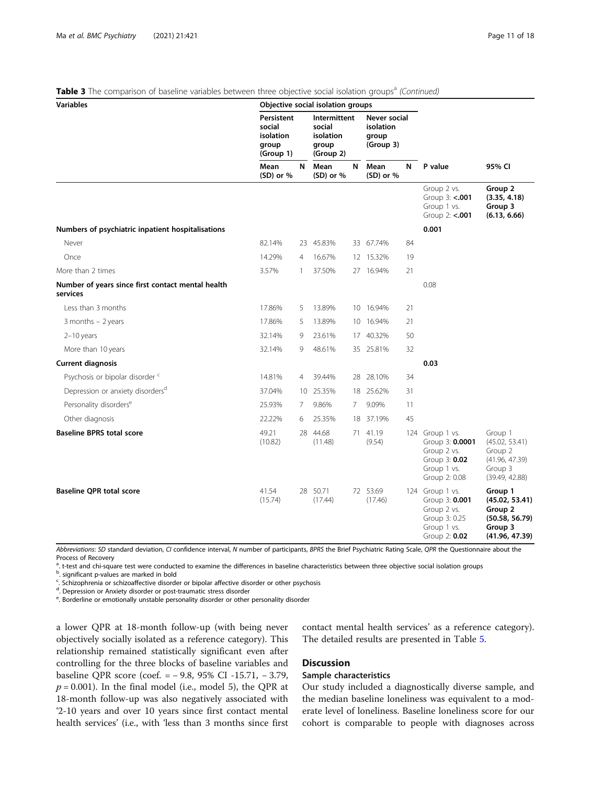Table 3 The comparison of baseline variables between three objective social isolation groups<sup>a</sup> (Continued)

| Variables                                                     | co sp <sub>l</sub> oca.co social issiano                |                                                           | Objective social isolation groups |    | 9.00000                                         |    |                                                                                                    |                                                                                     |
|---------------------------------------------------------------|---------------------------------------------------------|-----------------------------------------------------------|-----------------------------------|----|-------------------------------------------------|----|----------------------------------------------------------------------------------------------------|-------------------------------------------------------------------------------------|
|                                                               | Persistent<br>social<br>isolation<br>group<br>(Group 1) | Intermittent<br>social<br>isolation<br>group<br>(Group 2) |                                   |    | Never social<br>isolation<br>group<br>(Group 3) |    |                                                                                                    |                                                                                     |
|                                                               | Mean<br>$(SD)$ or %                                     | N                                                         | Mean<br>$(SD)$ or %               | N  | Mean<br>(SD) or %                               | N  | P value                                                                                            | 95% CI                                                                              |
|                                                               |                                                         |                                                           |                                   |    |                                                 |    | Group 2 vs.<br>Group 3: <.001<br>Group 1 vs.<br>Group 2: <.001                                     | Group 2<br>(3.35, 4.18)<br>Group 3<br>(6.13, 6.66)                                  |
| Numbers of psychiatric inpatient hospitalisations             |                                                         |                                                           |                                   |    |                                                 |    | 0.001                                                                                              |                                                                                     |
| Never                                                         | 82.14%                                                  |                                                           | 23 45.83%                         |    | 33 67.74%                                       | 84 |                                                                                                    |                                                                                     |
| Once                                                          | 14.29%                                                  | 4                                                         | 16.67%                            |    | 12 15.32%                                       | 19 |                                                                                                    |                                                                                     |
| More than 2 times                                             | 3.57%                                                   | $\mathbf{1}$                                              | 37.50%                            |    | 27 16.94%                                       | 21 |                                                                                                    |                                                                                     |
| Number of years since first contact mental health<br>services |                                                         |                                                           |                                   |    |                                                 |    | 0.08                                                                                               |                                                                                     |
| Less than 3 months                                            | 17.86%                                                  | 5                                                         | 13.89%                            |    | 10 16.94%                                       | 21 |                                                                                                    |                                                                                     |
| 3 months $-2$ years                                           | 17.86%                                                  | 5                                                         | 13.89%                            |    | 10 16.94%                                       | 21 |                                                                                                    |                                                                                     |
| $2-10$ years                                                  | 32.14%                                                  | 9                                                         | 23.61%                            |    | 17 40.32%                                       | 50 |                                                                                                    |                                                                                     |
| More than 10 years                                            | 32.14%                                                  | 9                                                         | 48.61%                            |    | 35 25.81%                                       | 32 |                                                                                                    |                                                                                     |
| <b>Current diagnosis</b>                                      |                                                         |                                                           |                                   |    |                                                 |    | 0.03                                                                                               |                                                                                     |
| Psychosis or bipolar disorder c                               | 14.81%                                                  | 4                                                         | 39.44%                            |    | 28 28.10%                                       | 34 |                                                                                                    |                                                                                     |
| Depression or anxiety disorders <sup>d</sup>                  | 37.04%                                                  |                                                           | 10 25.35%                         |    | 18 25.62%                                       | 31 |                                                                                                    |                                                                                     |
| Personality disorders <sup>e</sup>                            | 25.93%                                                  | 7                                                         | 9.86%                             | 7  | 9.09%                                           | 11 |                                                                                                    |                                                                                     |
| Other diagnosis                                               | 22.22%                                                  | 6                                                         | 25.35%                            | 18 | 37.19%                                          | 45 |                                                                                                    |                                                                                     |
| <b>Baseline BPRS total score</b>                              | 49.21<br>(10.82)                                        |                                                           | 28 44.68<br>(11.48)               |    | 71 41.19<br>(9.54)                              |    | 124 Group 1 vs.<br>Group 3: 0.0001<br>Group 2 vs.<br>Group 3: 0.02<br>Group 1 vs.<br>Group 2: 0.08 | Group 1<br>(45.02, 53.41)<br>Group 2<br>(41.96, 47.39)<br>Group 3<br>(39.49, 42.88) |
| <b>Baseline QPR total score</b>                               | 41.54<br>(15.74)                                        |                                                           | 28 50.71<br>(17.44)               |    | 72 53.69<br>(17.46)                             |    | 124 Group 1 vs.<br>Group 3: 0.001<br>Group 2 vs.<br>Group 3: 0.25<br>Group 1 vs.<br>Group 2: 0.02  | Group 1<br>(45.02, 53.41)<br>Group 2<br>(50.58, 56.79)<br>Group 3<br>(41.96, 47.39) |

Abbreviations: SD standard deviation, CI confidence interval, N number of participants, BPRS the Brief Psychiatric Rating Scale, QPR the Questionnaire about the Process of Recovery

<sup>a</sup>. t-test and chi-square test were conducted to examine the differences in baseline characteristics between three objective social isolation groups

<sup>b</sup>. significant p-values are marked in bold

<sup>c</sup>. Schizophrenia or schizoaffective disorder or bipolar affective disorder or other psychosis

<sup>d</sup>. Depression or Anxiety disorder or post-traumatic stress disorder

<sup>e</sup>. Borderline or emotionally unstable personality disorder or other personality disorder

a lower QPR at 18-month follow-up (with being never objectively socially isolated as a reference category). This relationship remained statistically significant even after controlling for the three blocks of baseline variables and baseline QPR score (coef. = − 9.8, 95% CI -15.71, − 3.79,  $p = 0.001$ ). In the final model (i.e., model 5), the QPR at 18-month follow-up was also negatively associated with '2-10 years and over 10 years since first contact mental health services' (i.e., with 'less than 3 months since first

contact mental health services' as a reference category). The detailed results are presented in Table [5](#page-13-0).

# **Discussion**

# Sample characteristics

Our study included a diagnostically diverse sample, and the median baseline loneliness was equivalent to a moderate level of loneliness. Baseline loneliness score for our cohort is comparable to people with diagnoses across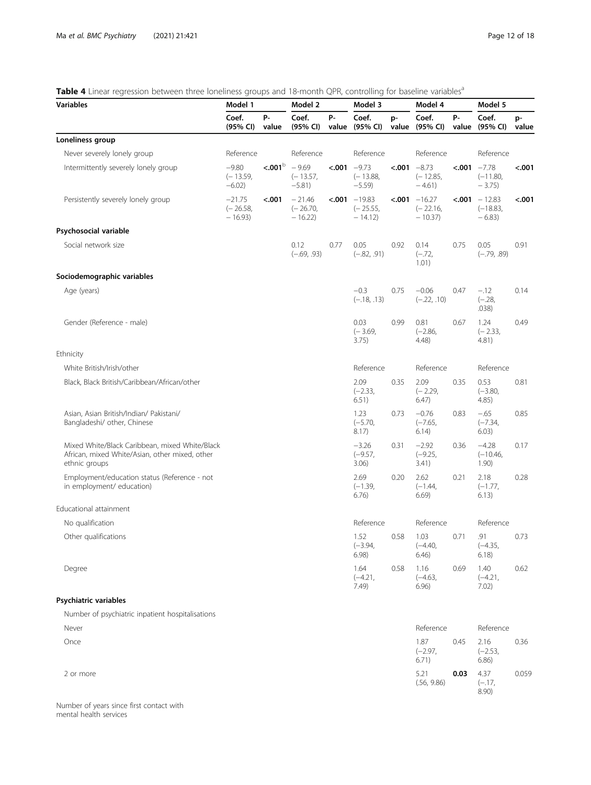# <span id="page-11-0"></span>Table 4 Linear regression between three loneliness groups and 18-month QPR, controlling for baseline variables<sup>a</sup>

| <b>Variables</b>                                                                                                  | Model 1                            |                           | Model 2                            |      | Model 3                                            |        | Model 4                                           | Model 5     |                                                  |             |
|-------------------------------------------------------------------------------------------------------------------|------------------------------------|---------------------------|------------------------------------|------|----------------------------------------------------|--------|---------------------------------------------------|-------------|--------------------------------------------------|-------------|
|                                                                                                                   | Coef.<br>(95% CI)                  | Р-<br>value               | Coef.<br>(95% CI)                  | Р-   | Coef.<br>value (95% CI)                            | p-     | Coef.<br>value (95% CI)                           | Р-<br>value | Coef.<br>(95% CI)                                | p-<br>value |
| Loneliness group                                                                                                  |                                    |                           |                                    |      |                                                    |        |                                                   |             |                                                  |             |
| Never severely lonely group                                                                                       | Reference                          |                           | Reference                          |      | Reference                                          |        | Reference                                         |             | Reference                                        |             |
| Intermittently severely lonely group                                                                              | $-9.80$<br>$(-13.59,$<br>$-6.02$ ) | $\sim 001^{\rm b}$ - 9.69 | $(-13.57,$<br>$-5.81)$             |      | $< 001 - 9.73$<br>$(-13.88,$<br>$-5.59$            | < .001 | $-8.73$<br>$(-12.85,$<br>$-4.61)$                 | < .001      | $-7.78$<br>$(-11.80,$<br>$-3.75$                 | < .001      |
| Persistently severely lonely group                                                                                | $-21.75$<br>$(-26.58,$<br>$-16.93$ | < .001                    | $-21.46$<br>$(-26.70,$<br>$-16.22$ |      | $\epsilon$ .001 $-19.83$<br>$(-25.55,$<br>$-14.12$ |        | $\lambda$ -001 $-16.27$<br>$(-22.16,$<br>$-10.37$ |             | $\epsilon$ .001 - 12.83<br>$(-18.83,$<br>$-6.83$ | < .001      |
| Psychosocial variable                                                                                             |                                    |                           |                                    |      |                                                    |        |                                                   |             |                                                  |             |
| Social network size                                                                                               |                                    |                           | 0.12<br>$(-.69, .93)$              | 0.77 | 0.05<br>$(-.82, .91)$                              | 0.92   | 0.14<br>$(-.72,$<br>1.01)                         | 0.75        | 0.05<br>$(-.79, .89)$                            | 0.91        |
| Sociodemographic variables                                                                                        |                                    |                           |                                    |      |                                                    |        |                                                   |             |                                                  |             |
| Age (years)                                                                                                       |                                    |                           |                                    |      | $-0.3$<br>$(-.18, .13)$                            | 0.75   | $-0.06$<br>$(-.22, .10)$                          | 0.47        | $-.12$<br>$(-.28,$<br>.038)                      | 0.14        |
| Gender (Reference - male)                                                                                         |                                    |                           |                                    |      | 0.03<br>$(-3.69,$<br>3.75)                         | 0.99   | 0.81<br>$(-2.86,$<br>4.48)                        | 0.67        | 1.24<br>$(-2.33,$<br>4.81)                       | 0.49        |
| Ethnicity                                                                                                         |                                    |                           |                                    |      |                                                    |        |                                                   |             |                                                  |             |
| White British/Irish/other                                                                                         |                                    |                           |                                    |      | Reference                                          |        | Reference                                         |             | Reference                                        |             |
| Black, Black British/Caribbean/African/other                                                                      |                                    |                           |                                    |      | 2.09<br>$(-2.33,$<br>6.51)                         | 0.35   | 2.09<br>$(-2.29,$<br>6.47)                        | 0.35        | 0.53<br>$(-3.80,$<br>4.85)                       | 0.81        |
| Asian, Asian British/Indian/ Pakistani/<br>Bangladeshi/ other, Chinese                                            |                                    |                           |                                    |      | 1.23<br>$(-5.70,$<br>8.17)                         | 0.73   | $-0.76$<br>$(-7.65,$<br>6.14)                     | 0.83        | $-.65$<br>$(-7.34,$<br>6.03)                     | 0.85        |
| Mixed White/Black Caribbean, mixed White/Black<br>African, mixed White/Asian, other mixed, other<br>ethnic groups |                                    |                           |                                    |      | $-3.26$<br>$(-9.57,$<br>3.06)                      | 0.31   | $-2.92$<br>$(-9.25,$<br>3.41)                     | 0.36        | $-4.28$<br>$(-10.46,$<br>1.90)                   | 0.17        |
| Employment/education status (Reference - not<br>in employment/ education)                                         |                                    |                           |                                    |      | 2.69<br>$(-1.39,$<br>6.76)                         | 0.20   | 2.62<br>$(-1.44,$<br>6.69)                        | 0.21        | 2.18<br>$(-1.77,$<br>6.13)                       | 0.28        |
| Educational attainment                                                                                            |                                    |                           |                                    |      |                                                    |        |                                                   |             |                                                  |             |
| No qualification                                                                                                  |                                    |                           |                                    |      | Reference                                          |        | Reference                                         |             | Reference                                        |             |
| Other qualifications                                                                                              |                                    |                           |                                    |      | 1.52<br>$(-3.94,$<br>6.98                          | 0.58   | 1.03<br>$(-4.40,$<br>6.46)                        | 0.71        | .91<br>$(-4.35,$<br>6.18)                        | 0.73        |
| Degree                                                                                                            |                                    |                           |                                    |      | 1.64<br>$(-4.21,$<br>7.49)                         | 0.58   | 1.16<br>$(-4.63,$<br>6.96)                        | 0.69        | 1.40<br>$(-4.21,$<br>7.02)                       | 0.62        |
| Psychiatric variables                                                                                             |                                    |                           |                                    |      |                                                    |        |                                                   |             |                                                  |             |
| Number of psychiatric inpatient hospitalisations                                                                  |                                    |                           |                                    |      |                                                    |        |                                                   |             |                                                  |             |

| Never     | Reference                  |      | Reference                  |       |
|-----------|----------------------------|------|----------------------------|-------|
| Once      | 1.87<br>$(-2.97,$<br>6.71) | 0.45 | 2.16<br>$(-2.53,$<br>6.86) | 0.36  |
| 2 or more | 5.21<br>(.56, 9.86)        | 0.03 | 4.37<br>$(-.17,$<br>8.90)  | 0.059 |

Number of years since first contact with mental health services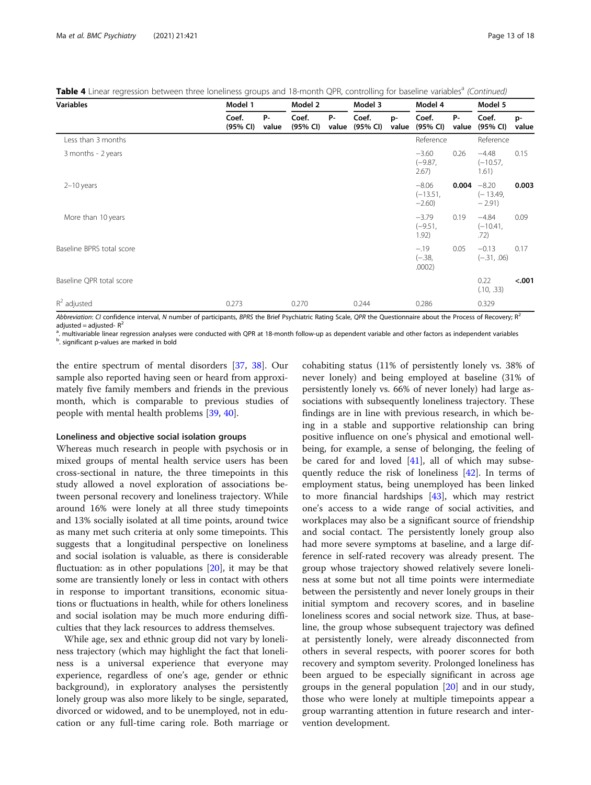| <b>Variables</b>          | Model 1           |                    | Model 2           |             | Model 3           |             | Model 4                          |             | Model 5                           |             |  |  |
|---------------------------|-------------------|--------------------|-------------------|-------------|-------------------|-------------|----------------------------------|-------------|-----------------------------------|-------------|--|--|
|                           | Coef.<br>(95% CI) | <b>P-</b><br>value | Coef.<br>(95% CI) | P-<br>value | Coef.<br>(95% CI) | p-<br>value | Coef.<br>(95% CI)                | P-<br>value | Coef.<br>(95% CI)                 | p-<br>value |  |  |
| Less than 3 months        |                   |                    |                   |             |                   |             | Reference                        |             | Reference                         |             |  |  |
| 3 months - 2 years        |                   |                    |                   |             |                   |             | $-3.60$<br>$(-9.87,$<br>2.67)    | 0.26        | $-4.48$<br>$(-10.57,$<br>1.61)    | 0.15        |  |  |
| $2-10$ years              |                   |                    |                   |             |                   |             | $-8.06$<br>$(-13.51,$<br>$-2.60$ | 0.004       | $-8.20$<br>$(-13.49,$<br>$-2.91)$ | 0.003       |  |  |
| More than 10 years        |                   |                    |                   |             |                   |             | $-3.79$<br>$(-9.51,$<br>1.92)    | 0.19        | $-4.84$<br>$(-10.41,$<br>.72)     | 0.09        |  |  |
| Baseline BPRS total score |                   |                    |                   |             |                   |             | $-.19$<br>$(-.38,$<br>.0002)     | 0.05        | $-0.13$<br>$(-.31, .06)$          | 0.17        |  |  |
| Baseline QPR total score  |                   |                    |                   |             |                   |             |                                  |             | 0.22<br>(.10, .33)                | < .001      |  |  |
| $R^2$ adjusted            | 0.273             |                    | 0.270             |             | 0.244             |             | 0.286                            |             | 0.329                             |             |  |  |

Table 4 Linear regression between three loneliness groups and 18-month QPR, controlling for baseline variables<sup>a</sup> (Continued)

Abbreviation: CI confidence interval, N number of participants, BPRS the Brief Psychiatric Rating Scale, QPR the Questionnaire about the Process of Recovery;  $R^2$ adjusted = adjusted- $R^2$ 

<sup>a</sup>. multivariable linear regression analyses were conducted with QPR at 18-month follow-up as dependent variable and other factors as independent variables<br><sup>b</sup> simificant pualuse are marked in bold b. significant p-values are marked in bold

the entire spectrum of mental disorders [\[37,](#page-17-0) [38\]](#page-17-0). Our sample also reported having seen or heard from approximately five family members and friends in the previous month, which is comparable to previous studies of people with mental health problems [[39](#page-17-0), [40](#page-17-0)].

#### Loneliness and objective social isolation groups

Whereas much research in people with psychosis or in mixed groups of mental health service users has been cross-sectional in nature, the three timepoints in this study allowed a novel exploration of associations between personal recovery and loneliness trajectory. While around 16% were lonely at all three study timepoints and 13% socially isolated at all time points, around twice as many met such criteria at only some timepoints. This suggests that a longitudinal perspective on loneliness and social isolation is valuable, as there is considerable fluctuation: as in other populations [[20](#page-16-0)], it may be that some are transiently lonely or less in contact with others in response to important transitions, economic situations or fluctuations in health, while for others loneliness and social isolation may be much more enduring difficulties that they lack resources to address themselves.

While age, sex and ethnic group did not vary by loneliness trajectory (which may highlight the fact that loneliness is a universal experience that everyone may experience, regardless of one's age, gender or ethnic background), in exploratory analyses the persistently lonely group was also more likely to be single, separated, divorced or widowed, and to be unemployed, not in education or any full-time caring role. Both marriage or

cohabiting status (11% of persistently lonely vs. 38% of never lonely) and being employed at baseline (31% of persistently lonely vs. 66% of never lonely) had large associations with subsequently loneliness trajectory. These findings are in line with previous research, in which being in a stable and supportive relationship can bring positive influence on one's physical and emotional wellbeing, for example, a sense of belonging, the feeling of be cared for and loved  $[41]$  $[41]$ , all of which may subsequently reduce the risk of loneliness [[42](#page-17-0)]. In terms of employment status, being unemployed has been linked to more financial hardships [\[43](#page-17-0)], which may restrict one's access to a wide range of social activities, and workplaces may also be a significant source of friendship and social contact. The persistently lonely group also had more severe symptoms at baseline, and a large difference in self-rated recovery was already present. The group whose trajectory showed relatively severe loneliness at some but not all time points were intermediate between the persistently and never lonely groups in their initial symptom and recovery scores, and in baseline loneliness scores and social network size. Thus, at baseline, the group whose subsequent trajectory was defined at persistently lonely, were already disconnected from others in several respects, with poorer scores for both recovery and symptom severity. Prolonged loneliness has been argued to be especially significant in across age groups in the general population [\[20](#page-16-0)] and in our study, those who were lonely at multiple timepoints appear a group warranting attention in future research and intervention development.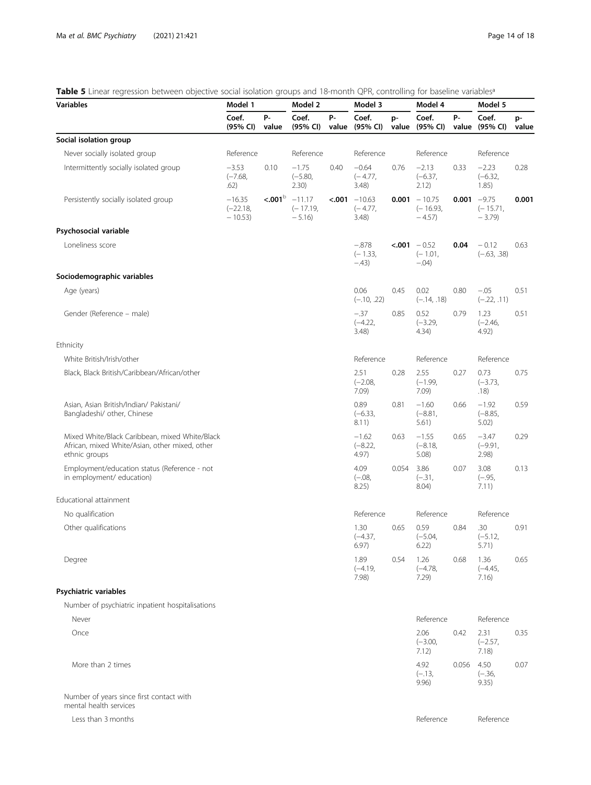# <span id="page-13-0"></span>Table 5 Linear regression between objective social isolation groups and 18-month QPR, controlling for baseline variables<sup>a</sup>

| Variables                                                                                                         | Model 1                            |             | Model 2                           |      | Model 3                                     |       | Model 4                                         |            | Model 5                                |             |
|-------------------------------------------------------------------------------------------------------------------|------------------------------------|-------------|-----------------------------------|------|---------------------------------------------|-------|-------------------------------------------------|------------|----------------------------------------|-------------|
|                                                                                                                   | Coef.<br>(95% CI)                  | Р-<br>value | Coef.<br>(95% CI)                 | р.   | Coef.<br>value (95% CI)                     | p-    | Coef.<br>value (95% CI)                         | р.         | Coef.<br>value (95% CI)                | p-<br>value |
| Social isolation group                                                                                            |                                    |             |                                   |      |                                             |       |                                                 |            |                                        |             |
| Never socially isolated group                                                                                     | Reference                          |             | Reference                         |      | Reference                                   |       | Reference                                       |            | Reference                              |             |
| Intermittently socially isolated group                                                                            | $-3.53$<br>$(-7.68,$<br>.62)       | 0.10        | $-1.75$<br>$(-5.80,$<br>2.30)     | 0.40 | $-0.64$<br>$(-4.77,$<br>3.48)               | 0.76  | $-2.13$<br>$(-6.37,$<br>2.12)                   | 0.33       | $-2.23$<br>$(-6.32,$<br>1.85)          | 0.28        |
| Persistently socially isolated group                                                                              | $-16.35$<br>$(-22.18,$<br>$-10.53$ | < .001      | $-11.17$<br>$(-17.19,$<br>$-5.16$ |      | $\text{-.001}$ -10.63<br>$(-4.77,$<br>3.48) |       | $0.001 - 10.75$<br>$(-16.93,$<br>$-4.57$        |            | $0.001 -9.75$<br>$(-15.71,$<br>$-3.79$ | 0.001       |
| Psychosocial variable                                                                                             |                                    |             |                                   |      |                                             |       |                                                 |            |                                        |             |
| Loneliness score                                                                                                  |                                    |             |                                   |      | $-.878$<br>$(-1.33,$<br>$-43)$              |       | $\epsilon$ .001 $-0.52$<br>$(-1.01,$<br>$-.04)$ | 0.04       | $-0.12$<br>$(-.63, .38)$               | 0.63        |
| Sociodemographic variables                                                                                        |                                    |             |                                   |      |                                             |       |                                                 |            |                                        |             |
| Age (years)                                                                                                       |                                    |             |                                   |      | 0.06<br>$(-.10, .22)$                       | 0.45  | 0.02<br>$(-.14, .18)$                           | 0.80       | $-.05$<br>$(-.22, .11)$                | 0.51        |
| Gender (Reference – male)                                                                                         |                                    |             |                                   |      | $-.37$<br>$(-4.22,$<br>3.48)                | 0.85  | 0.52<br>$(-3.29,$<br>4.34)                      | 0.79       | 1.23<br>$(-2.46,$<br>4.92)             | 0.51        |
| Ethnicity                                                                                                         |                                    |             |                                   |      |                                             |       |                                                 |            |                                        |             |
| White British/Irish/other                                                                                         |                                    |             |                                   |      | Reference                                   |       | Reference                                       |            | Reference                              |             |
| Black, Black British/Caribbean/African/other                                                                      |                                    |             |                                   |      | 2.51<br>$(-2.08,$<br>7.09)                  | 0.28  | 2.55<br>$(-1.99,$<br>7.09)                      | 0.27       | 0.73<br>$(-3.73,$<br>.18)              | 0.75        |
| Asian, Asian British/Indian/ Pakistani/<br>Bangladeshi/ other, Chinese                                            |                                    |             |                                   |      | 0.89<br>$(-6.33,$<br>8.11)                  | 0.81  | $-1.60$<br>$(-8.81,$<br>5.61)                   | 0.66       | $-1.92$<br>$(-8.85,$<br>5.02)          | 0.59        |
| Mixed White/Black Caribbean, mixed White/Black<br>African, mixed White/Asian, other mixed, other<br>ethnic groups |                                    |             |                                   |      | $-1.62$<br>$(-8.22,$<br>4.97)               | 0.63  | $-1.55$<br>$(-8.18,$<br>5.08)                   | 0.65       | $-3.47$<br>$(-9.91,$<br>2.98)          | 0.29        |
| Employment/education status (Reference - not<br>in employment/ education)                                         |                                    |             |                                   |      | 4.09<br>$(-.08,$<br>8.25)                   | 0.054 | 3.86<br>$(-.31,$<br>8.04)                       | 0.07       | 3.08<br>$(-.95,$<br>7.11)              | 0.13        |
| Educational attainment                                                                                            |                                    |             |                                   |      |                                             |       |                                                 |            |                                        |             |
| No qualification                                                                                                  |                                    |             |                                   |      | Reference                                   |       | Reference                                       |            | Reference                              |             |
| Other qualifications                                                                                              |                                    |             |                                   |      | 1.30<br>$(-4.37,$<br>6.97)                  | 0.65  | 0.59<br>$(-5.04,$<br>6.22)                      | 0.84       | .30<br>$(-5.12,$<br>5.71)              | 0.91        |
| Degree                                                                                                            |                                    |             |                                   |      | 1.89<br>$(-4.19,$<br>7.98)                  | 0.54  | 1.26<br>$(-4.78,$<br>7.29                       | 0.68       | 1.36<br>$(-4.45,$<br>7.16)             | 0.65        |
| Psychiatric variables                                                                                             |                                    |             |                                   |      |                                             |       |                                                 |            |                                        |             |
| Number of psychiatric inpatient hospitalisations                                                                  |                                    |             |                                   |      |                                             |       |                                                 |            |                                        |             |
| Never                                                                                                             |                                    |             |                                   |      |                                             |       | Reference                                       |            | Reference                              |             |
| Once                                                                                                              |                                    |             |                                   |      |                                             |       | 2.06<br>$(-3.00,$<br>7.12)                      | 0.42       | 2.31<br>$(-2.57,$<br>7.18)             | 0.35        |
| More than 2 times                                                                                                 |                                    |             |                                   |      |                                             |       | 4.92                                            | 0.056 4.50 |                                        | 0.07        |

Number of years since first contact with mental health services

Less than 3 months **Reference** Reference Reference Reference Reference Reference Reference

(−.36, 9.35)

(−.13, 9.96)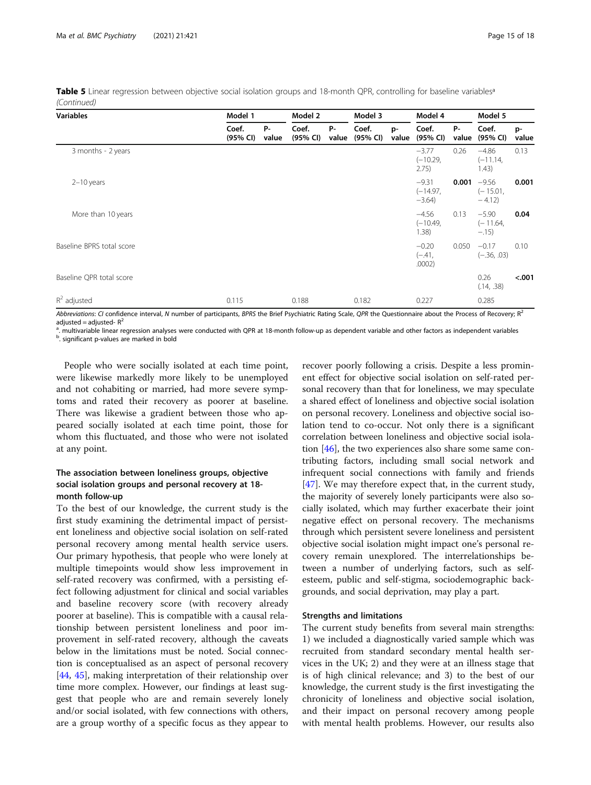| <b>Variables</b>          | Model 1           |             |                   |                    | Model 3           | Model 4     |                                    |                    | Model 5                          |             |  |
|---------------------------|-------------------|-------------|-------------------|--------------------|-------------------|-------------|------------------------------------|--------------------|----------------------------------|-------------|--|
|                           | Coef.<br>(95% CI) | P-<br>value | Coef.<br>(95% CI) | <b>P-</b><br>value | Coef.<br>(95% CI) | p-<br>value | Coef.<br>(95% CI)                  | <b>P-</b><br>value | Coef.<br>(95% CI)                | p-<br>value |  |
| 3 months - 2 years        |                   |             |                   |                    |                   |             | $-3.77$<br>$(-10.29,$<br>2.75)     | 0.26               | $-4.86$<br>$(-11.14,$<br>1.43)   | 0.13        |  |
| $2-10$ years              |                   |             |                   |                    |                   |             | $-9.31$<br>$(-14.97,$<br>$-3.64$ ) | 0.001              | $-9.56$<br>$(-15.01,$<br>$-4.12$ | 0.001       |  |
| More than 10 years        |                   |             |                   |                    |                   |             | $-4.56$<br>$(-10.49,$<br>1.38)     | 0.13               | $-5.90$<br>$(-11.64,$<br>$-.15)$ | 0.04        |  |
| Baseline BPRS total score |                   |             |                   |                    |                   |             | $-0.20$<br>$(-.41,$<br>.0002)      | 0.050              | $-0.17$<br>$(-.36, .03)$         | 0.10        |  |
| Baseline QPR total score  |                   |             |                   |                    |                   |             |                                    |                    | 0.26<br>(.14, .38)               | < .001      |  |
| $R^2$ adjusted            | 0.115             |             | 0.188             |                    | 0.182             |             | 0.227                              |                    | 0.285                            |             |  |

Table 5 Linear regression between objective social isolation groups and 18-month QPR, controlling for baseline variables<sup>a</sup> (Continued)

Abbreviations: CI confidence interval, N number of participants, BPRS the Brief Psychiatric Rating Scale, QPR the Questionnaire about the Process of Recovery; R<sup>2</sup> adjusted = adjusted- $R^2$ 

<sup>a</sup>. multivariable linear regression analyses were conducted with QPR at 18-month follow-up as dependent variable and other factors as independent variables<br><sup>b</sup> simificant pualuse are marked in bold

<sup>b</sup>. significant p-values are marked in bold

People who were socially isolated at each time point, were likewise markedly more likely to be unemployed and not cohabiting or married, had more severe symptoms and rated their recovery as poorer at baseline. There was likewise a gradient between those who appeared socially isolated at each time point, those for whom this fluctuated, and those who were not isolated at any point.

# The association between loneliness groups, objective social isolation groups and personal recovery at 18 month follow-up

To the best of our knowledge, the current study is the first study examining the detrimental impact of persistent loneliness and objective social isolation on self-rated personal recovery among mental health service users. Our primary hypothesis, that people who were lonely at multiple timepoints would show less improvement in self-rated recovery was confirmed, with a persisting effect following adjustment for clinical and social variables and baseline recovery score (with recovery already poorer at baseline). This is compatible with a causal relationship between persistent loneliness and poor improvement in self-rated recovery, although the caveats below in the limitations must be noted. Social connection is conceptualised as an aspect of personal recovery [[44,](#page-17-0) [45](#page-17-0)], making interpretation of their relationship over time more complex. However, our findings at least suggest that people who are and remain severely lonely and/or social isolated, with few connections with others, are a group worthy of a specific focus as they appear to

recover poorly following a crisis. Despite a less prominent effect for objective social isolation on self-rated personal recovery than that for loneliness, we may speculate a shared effect of loneliness and objective social isolation on personal recovery. Loneliness and objective social isolation tend to co-occur. Not only there is a significant correlation between loneliness and objective social isolation [[46\]](#page-17-0), the two experiences also share some same contributing factors, including small social network and infrequent social connections with family and friends [[47\]](#page-17-0). We may therefore expect that, in the current study, the majority of severely lonely participants were also socially isolated, which may further exacerbate their joint negative effect on personal recovery. The mechanisms through which persistent severe loneliness and persistent objective social isolation might impact one's personal recovery remain unexplored. The interrelationships between a number of underlying factors, such as selfesteem, public and self-stigma, sociodemographic backgrounds, and social deprivation, may play a part.

# Strengths and limitations

The current study benefits from several main strengths: 1) we included a diagnostically varied sample which was recruited from standard secondary mental health services in the UK; 2) and they were at an illness stage that is of high clinical relevance; and 3) to the best of our knowledge, the current study is the first investigating the chronicity of loneliness and objective social isolation, and their impact on personal recovery among people with mental health problems. However, our results also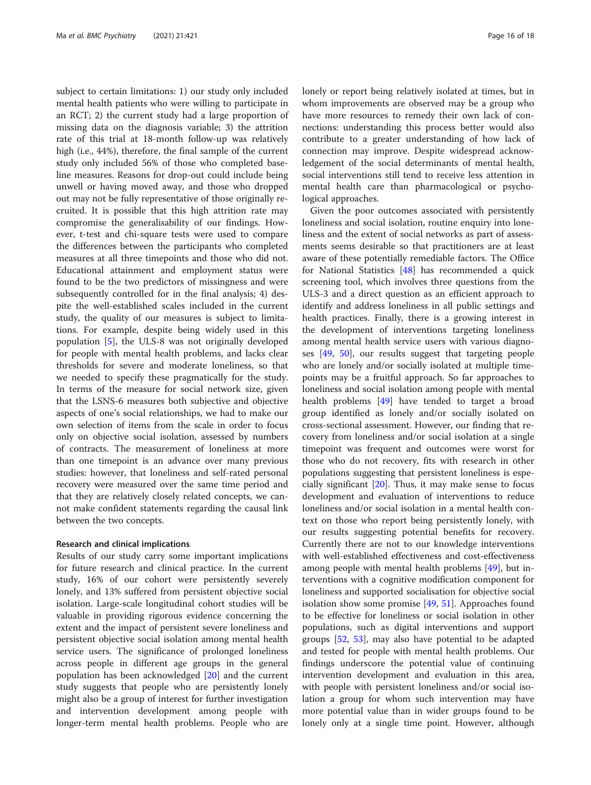subject to certain limitations: 1) our study only included mental health patients who were willing to participate in an RCT; 2) the current study had a large proportion of missing data on the diagnosis variable; 3) the attrition rate of this trial at 18-month follow-up was relatively high (i.e., 44%), therefore, the final sample of the current study only included 56% of those who completed baseline measures. Reasons for drop-out could include being unwell or having moved away, and those who dropped out may not be fully representative of those originally recruited. It is possible that this high attrition rate may compromise the generalisability of our findings. However, t-test and chi-square tests were used to compare the differences between the participants who completed measures at all three timepoints and those who did not. Educational attainment and employment status were found to be the two predictors of missingness and were subsequently controlled for in the final analysis; 4) despite the well-established scales included in the current study, the quality of our measures is subject to limitations. For example, despite being widely used in this population [\[5](#page-16-0)], the ULS-8 was not originally developed for people with mental health problems, and lacks clear thresholds for severe and moderate loneliness, so that we needed to specify these pragmatically for the study. In terms of the measure for social network size, given that the LSNS-6 measures both subjective and objective aspects of one's social relationships, we had to make our own selection of items from the scale in order to focus only on objective social isolation, assessed by numbers of contracts. The measurement of loneliness at more than one timepoint is an advance over many previous studies: however, that loneliness and self-rated personal recovery were measured over the same time period and that they are relatively closely related concepts, we cannot make confident statements regarding the causal link between the two concepts.

# Research and clinical implications

Results of our study carry some important implications for future research and clinical practice. In the current study, 16% of our cohort were persistently severely lonely, and 13% suffered from persistent objective social isolation. Large-scale longitudinal cohort studies will be valuable in providing rigorous evidence concerning the extent and the impact of persistent severe loneliness and persistent objective social isolation among mental health service users. The significance of prolonged loneliness across people in different age groups in the general population has been acknowledged [[20\]](#page-16-0) and the current study suggests that people who are persistently lonely might also be a group of interest for further investigation and intervention development among people with longer-term mental health problems. People who are lonely or report being relatively isolated at times, but in whom improvements are observed may be a group who have more resources to remedy their own lack of connections: understanding this process better would also contribute to a greater understanding of how lack of connection may improve. Despite widespread acknowledgement of the social determinants of mental health, social interventions still tend to receive less attention in mental health care than pharmacological or psychological approaches.

Given the poor outcomes associated with persistently loneliness and social isolation, routine enquiry into loneliness and the extent of social networks as part of assessments seems desirable so that practitioners are at least aware of these potentially remediable factors. The Office for National Statistics [\[48\]](#page-17-0) has recommended a quick screening tool, which involves three questions from the ULS-3 and a direct question as an efficient approach to identify and address loneliness in all public settings and health practices. Finally, there is a growing interest in the development of interventions targeting loneliness among mental health service users with various diagnoses [\[49,](#page-17-0) [50](#page-17-0)], our results suggest that targeting people who are lonely and/or socially isolated at multiple timepoints may be a fruitful approach. So far approaches to loneliness and social isolation among people with mental health problems [\[49\]](#page-17-0) have tended to target a broad group identified as lonely and/or socially isolated on cross-sectional assessment. However, our finding that recovery from loneliness and/or social isolation at a single timepoint was frequent and outcomes were worst for those who do not recovery, fits with research in other populations suggesting that persistent loneliness is especially significant  $[20]$ . Thus, it may make sense to focus development and evaluation of interventions to reduce loneliness and/or social isolation in a mental health context on those who report being persistently lonely, with our results suggesting potential benefits for recovery. Currently there are not to our knowledge interventions with well-established effectiveness and cost-effectiveness among people with mental health problems [[49\]](#page-17-0), but interventions with a cognitive modification component for loneliness and supported socialisation for objective social isolation show some promise [\[49,](#page-17-0) [51\]](#page-17-0). Approaches found to be effective for loneliness or social isolation in other populations, such as digital interventions and support groups [[52,](#page-17-0) [53](#page-17-0)], may also have potential to be adapted and tested for people with mental health problems. Our findings underscore the potential value of continuing intervention development and evaluation in this area, with people with persistent loneliness and/or social isolation a group for whom such intervention may have more potential value than in wider groups found to be lonely only at a single time point. However, although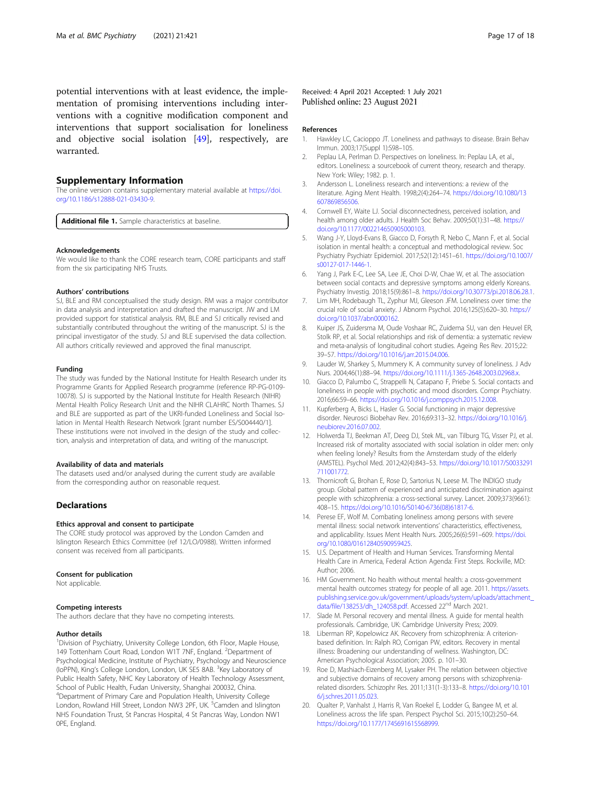<span id="page-16-0"></span>potential interventions with at least evidence, the implementation of promising interventions including interventions with a cognitive modification component and interventions that support socialisation for loneliness and objective social isolation [\[49](#page-17-0)], respectively, are warranted.

# Supplementary Information

The online version contains supplementary material available at [https://doi.](https://doi.org/10.1186/s12888-021-03430-9) [org/10.1186/s12888-021-03430-9.](https://doi.org/10.1186/s12888-021-03430-9)

Additional file 1. Sample characteristics at baseline.

#### Acknowledgements

We would like to thank the CORE research team, CORE participants and staff from the six participating NHS Trusts.

#### Authors' contributions

SJ, BLE and RM conceptualised the study design. RM was a major contributor in data analysis and interpretation and drafted the manuscript. JW and LM provided support for statistical analysis. RM, BLE and SJ critically revised and substantially contributed throughout the writing of the manuscript. SJ is the principal investigator of the study. SJ and BLE supervised the data collection. All authors critically reviewed and approved the final manuscript.

#### Funding

The study was funded by the National Institute for Health Research under its Programme Grants for Applied Research programme (reference RP-PG-0109- 10078). SJ is supported by the National Institute for Health Research (NIHR) Mental Health Policy Research Unit and the NIHR CLAHRC North Thames. SJ and BLE are supported as part of the UKRI-funded Loneliness and Social Isolation in Mental Health Research Network [grant number ES/S004440/1]. These institutions were not involved in the design of the study and collection, analysis and interpretation of data, and writing of the manuscript.

#### Availability of data and materials

The datasets used and/or analysed during the current study are available from the corresponding author on reasonable request.

# **Declarations**

#### Ethics approval and consent to participate

The CORE study protocol was approved by the London Camden and Islington Research Ethics Committee (ref 12/LO/0988). Written informed consent was received from all participants.

#### Consent for publication

Not applicable.

# Competing interests

The authors declare that they have no competing interests.

#### Author details

<sup>1</sup> Division of Psychiatry, University College London, 6th Floor, Maple House, 149 Tottenham Court Road, London W1T 7NF, England. <sup>2</sup>Department of Psychological Medicine, Institute of Psychiatry, Psychology and Neuroscience (IoPPN), King's College London, London, UK SE5 8AB. <sup>3</sup>Key Laboratory of Public Health Safety, NHC Key Laboratory of Health Technology Assessment, School of Public Health, Fudan University, Shanghai 200032, China. 4 Department of Primary Care and Population Health, University College London, Rowland Hill Street, London NW3 2PF, UK. <sup>5</sup>Camden and Islington NHS Foundation Trust, St Pancras Hospital, 4 St Pancras Way, London NW1 0PE, England.

Received: 4 April 2021 Accepted: 1 July 2021 Published online: 23 August 2021

#### References

- 1. Hawkley LC, Cacioppo JT. Loneliness and pathways to disease. Brain Behav Immun. 2003;17(Suppl 1):S98–105.
- 2. Peplau LA, Perlman D. Perspectives on loneliness. In: Peplau LA, et al., editors. Loneliness: a sourcebook of current theory, research and therapy. New York: Wiley; 1982. p. 1.
- 3. Andersson L. Loneliness research and interventions: a review of the literature. Aging Ment Health. 1998;2(4):264–74. [https://doi.org/10.1080/13](https://doi.org/10.1080/13607869856506) [607869856506.](https://doi.org/10.1080/13607869856506)
- 4. Cornwell EY, Waite LJ. Social disconnectedness, perceived isolation, and health among older adults. J Health Soc Behav. 2009;50(1):31–48. [https://](https://doi.org/10.1177/002214650905000103) [doi.org/10.1177/002214650905000103.](https://doi.org/10.1177/002214650905000103)
- 5. Wang J-Y, Lloyd-Evans B, Giacco D, Forsyth R, Nebo C, Mann F, et al. Social isolation in mental health: a conceptual and methodological review. Soc Psychiatry Psychiatr Epidemiol. 2017;52(12):1451–61. [https://doi.org/10.1007/](https://doi.org/10.1007/s00127-017-1446-1) [s00127-017-1446-1.](https://doi.org/10.1007/s00127-017-1446-1)
- 6. Yang J, Park E-C, Lee SA, Lee JE, Choi D-W, Chae W, et al. The association between social contacts and depressive symptoms among elderly Koreans. Psychiatry Investig. 2018;15(9):861–8. <https://doi.org/10.30773/pi.2018.06.28.1>.
- 7. Lim MH, Rodebaugh TL, Zyphur MJ, Gleeson JFM. Loneliness over time: the crucial role of social anxiety. J Abnorm Psychol. 2016;125(5):620–30. [https://](https://doi.org/10.1037/abn0000162) [doi.org/10.1037/abn0000162](https://doi.org/10.1037/abn0000162).
- 8. Kuiper JS, Zuidersma M, Oude Voshaar RC, Zuidema SU, van den Heuvel ER, Stolk RP, et al. Social relationships and risk of dementia: a systematic review and meta-analysis of longitudinal cohort studies. Ageing Res Rev. 2015;22: 39–57. [https://doi.org/10.1016/j.arr.2015.04.006.](https://doi.org/10.1016/j.arr.2015.04.006)
- 9. Lauder W, Sharkey S, Mummery K. A community survey of loneliness. J Adv Nurs. 2004;46(1):88–94. <https://doi.org/10.1111/j.1365-2648.2003.02968.x>.
- 10. Giacco D, Palumbo C, Strappelli N, Catapano F, Priebe S. Social contacts and loneliness in people with psychotic and mood disorders. Compr Psychiatry. 2016;66:59–66. <https://doi.org/10.1016/j.comppsych.2015.12.008>.
- 11. Kupferberg A, Bicks L, Hasler G. Social functioning in major depressive disorder. Neurosci Biobehav Rev. 2016;69:313–32. [https://doi.org/10.1016/j.](https://doi.org/10.1016/j.neubiorev.2016.07.002) [neubiorev.2016.07.002.](https://doi.org/10.1016/j.neubiorev.2016.07.002)
- 12. Holwerda TJ, Beekman AT, Deeg DJ, Stek ML, van Tilburg TG, Visser PJ, et al. Increased risk of mortality associated with social isolation in older men: only when feeling lonely? Results from the Amsterdam study of the elderly (AMSTEL). Psychol Med. 2012;42(4):843–53. [https://doi.org/10.1017/S0033291](https://doi.org/10.1017/S0033291711001772) [711001772](https://doi.org/10.1017/S0033291711001772).
- 13. Thornicroft G, Brohan E, Rose D, Sartorius N, Leese M. The INDIGO study group. Global pattern of experienced and anticipated discrimination against people with schizophrenia: a cross-sectional survey. Lancet. 2009;373(9661): 408–15. [https://doi.org/10.1016/S0140-6736\(08\)61817-6.](https://doi.org/10.1016/S0140-6736(08)61817-6)
- 14. Perese EF, Wolf M. Combating loneliness among persons with severe mental illness: social network interventions' characteristics, effectiveness, and applicability. Issues Ment Health Nurs. 2005;26(6):591–609. [https://doi.](https://doi.org/10.1080/01612840590959425) [org/10.1080/01612840590959425](https://doi.org/10.1080/01612840590959425).
- 15. U.S. Department of Health and Human Services. Transforming Mental Health Care in America, Federal Action Agenda: First Steps. Rockville, MD: Author; 2006.
- 16. HM Government. No health without mental health: a cross-government mental health outcomes strategy for people of all age. 2011. [https://assets.](https://assets.publishing.service.gov.uk/government/uploads/system/uploads/attachment_data/file/138253/dh_124058.pdf) [publishing.service.gov.uk/government/uploads/system/uploads/attachment\\_](https://assets.publishing.service.gov.uk/government/uploads/system/uploads/attachment_data/file/138253/dh_124058.pdf) [data/file/138253/dh\\_124058.pdf.](https://assets.publishing.service.gov.uk/government/uploads/system/uploads/attachment_data/file/138253/dh_124058.pdf) Accessed 22nd March 2021.
- 17. Slade M. Personal recovery and mental illness. A guide for mental health professionals. Cambridge, UK: Cambridge University Press; 2009.
- 18. Liberman RP, Kopelowicz AK. Recovery from schizophrenia: A criterionbased definition. In: Ralph RO, Corrigan PW, editors. Recovery in mental illness: Broadening our understanding of wellness. Washington, DC: American Psychological Association; 2005. p. 101–30.
- 19. Roe D, Mashiach-Eizenberg M, Lysaker PH. The relation between objective and subjective domains of recovery among persons with schizophreniarelated disorders. Schizophr Res. 2011;131(1-3):133–8. [https://doi.org/10.101](https://doi.org/10.1016/j.schres.2011.05.023) [6/j.schres.2011.05.023](https://doi.org/10.1016/j.schres.2011.05.023).
- 20. Qualter P, Vanhalst J, Harris R, Van Roekel E, Lodder G, Bangee M, et al. Loneliness across the life span. Perspect Psychol Sci. 2015;10(2):250–64. [https://doi.org/10.1177/1745691615568999.](https://doi.org/10.1177/1745691615568999)